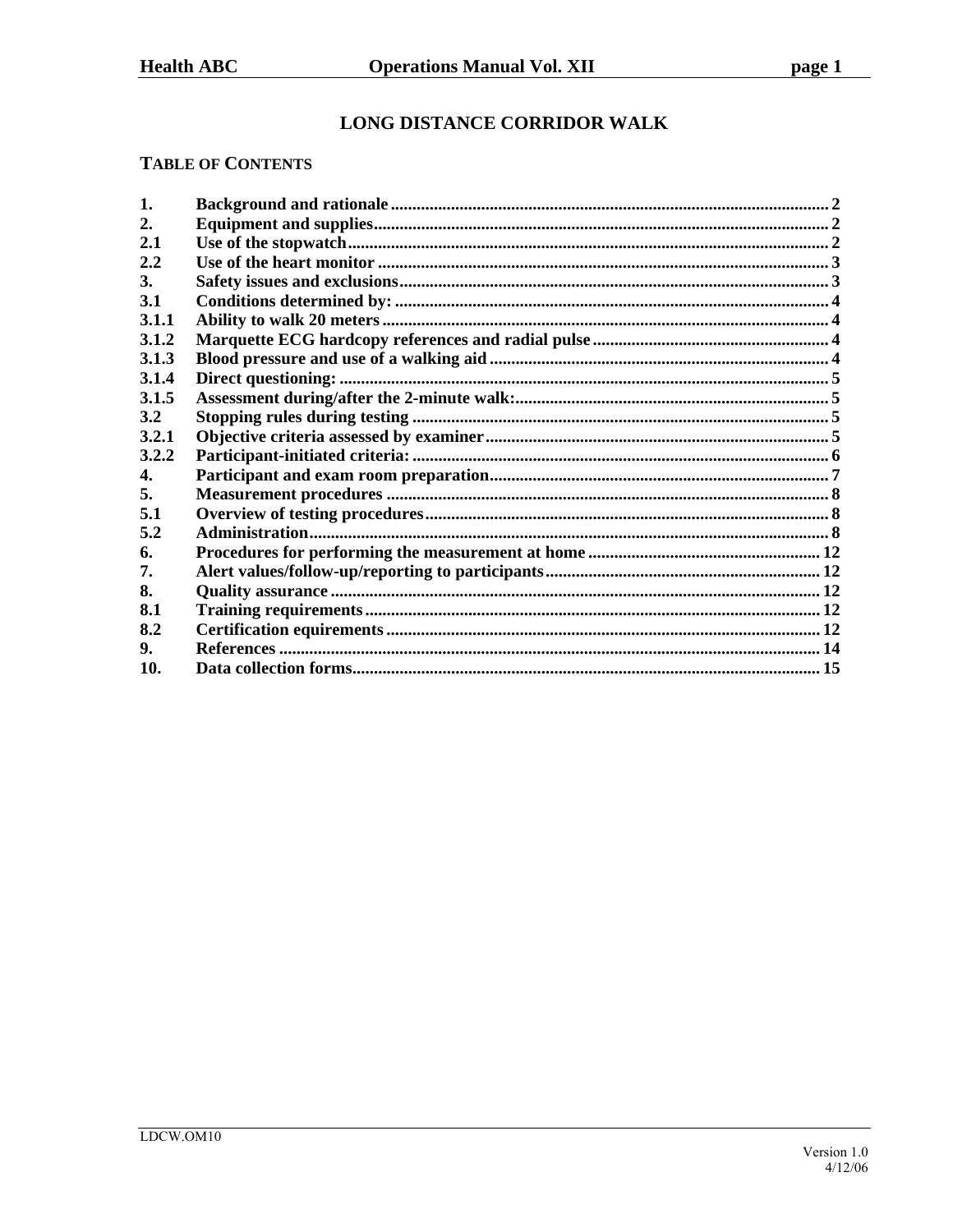# LONG DISTANCE CORRIDOR WALK

### **TABLE OF CONTENTS**

| 1.    |  |
|-------|--|
| 2.    |  |
| 2.1   |  |
| 2.2   |  |
| 3.    |  |
| 3.1   |  |
| 3.1.1 |  |
| 3.1.2 |  |
| 3.1.3 |  |
| 3.1.4 |  |
| 3.1.5 |  |
| 3.2   |  |
| 3.2.1 |  |
| 3.2.2 |  |
| 4.    |  |
| 5.    |  |
| 5.1   |  |
| 5.2   |  |
| 6.    |  |
| 7.    |  |
| 8.    |  |
| 8.1   |  |
| 8.2   |  |
| 9.    |  |
| 10.   |  |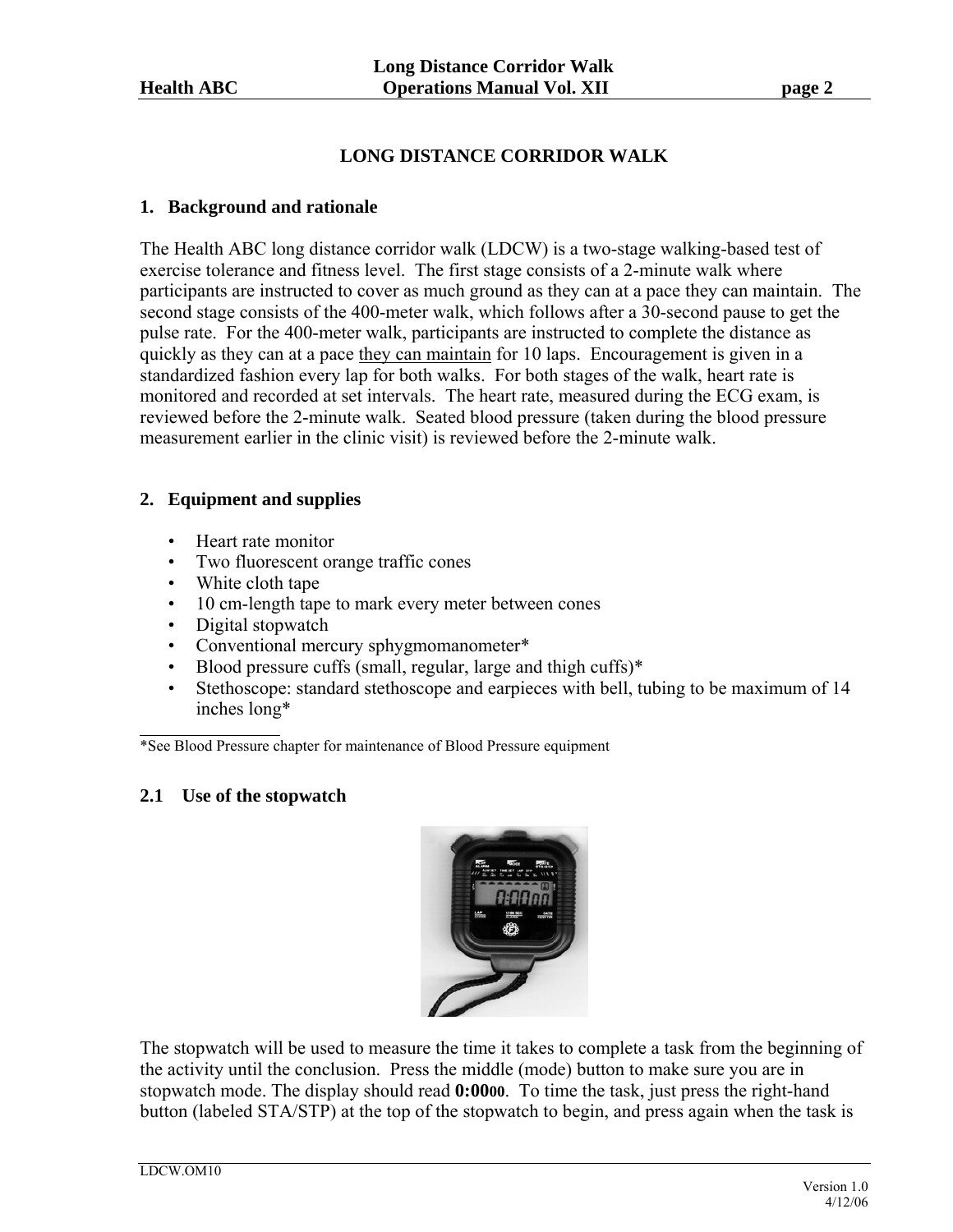# **LONG DISTANCE CORRIDOR WALK**

# **1. Background and rationale**

The Health ABC long distance corridor walk (LDCW) is a two-stage walking-based test of exercise tolerance and fitness level. The first stage consists of a 2-minute walk where participants are instructed to cover as much ground as they can at a pace they can maintain. The second stage consists of the 400-meter walk, which follows after a 30-second pause to get the pulse rate. For the 400-meter walk, participants are instructed to complete the distance as quickly as they can at a pace they can maintain for 10 laps. Encouragement is given in a standardized fashion every lap for both walks. For both stages of the walk, heart rate is monitored and recorded at set intervals. The heart rate, measured during the ECG exam, is reviewed before the 2-minute walk. Seated blood pressure (taken during the blood pressure measurement earlier in the clinic visit) is reviewed before the 2-minute walk.

# **2. Equipment and supplies**

- Heart rate monitor
- Two fluorescent orange traffic cones
- White cloth tape
- 10 cm-length tape to mark every meter between cones
- Digital stopwatch
- Conventional mercury sphygmomanometer\*
- Blood pressure cuffs (small, regular, large and thigh cuffs)\*
- Stethoscope: standard stethoscope and earpieces with bell, tubing to be maximum of 14 inches long\*

\*See Blood Pressure chapter for maintenance of Blood Pressure equipment

# **2.1 Use of the stopwatch**



The stopwatch will be used to measure the time it takes to complete a task from the beginning of the activity until the conclusion. Press the middle (mode) button to make sure you are in stopwatch mode. The display should read **0:0000**. To time the task, just press the right-hand button (labeled STA/STP) at the top of the stopwatch to begin, and press again when the task is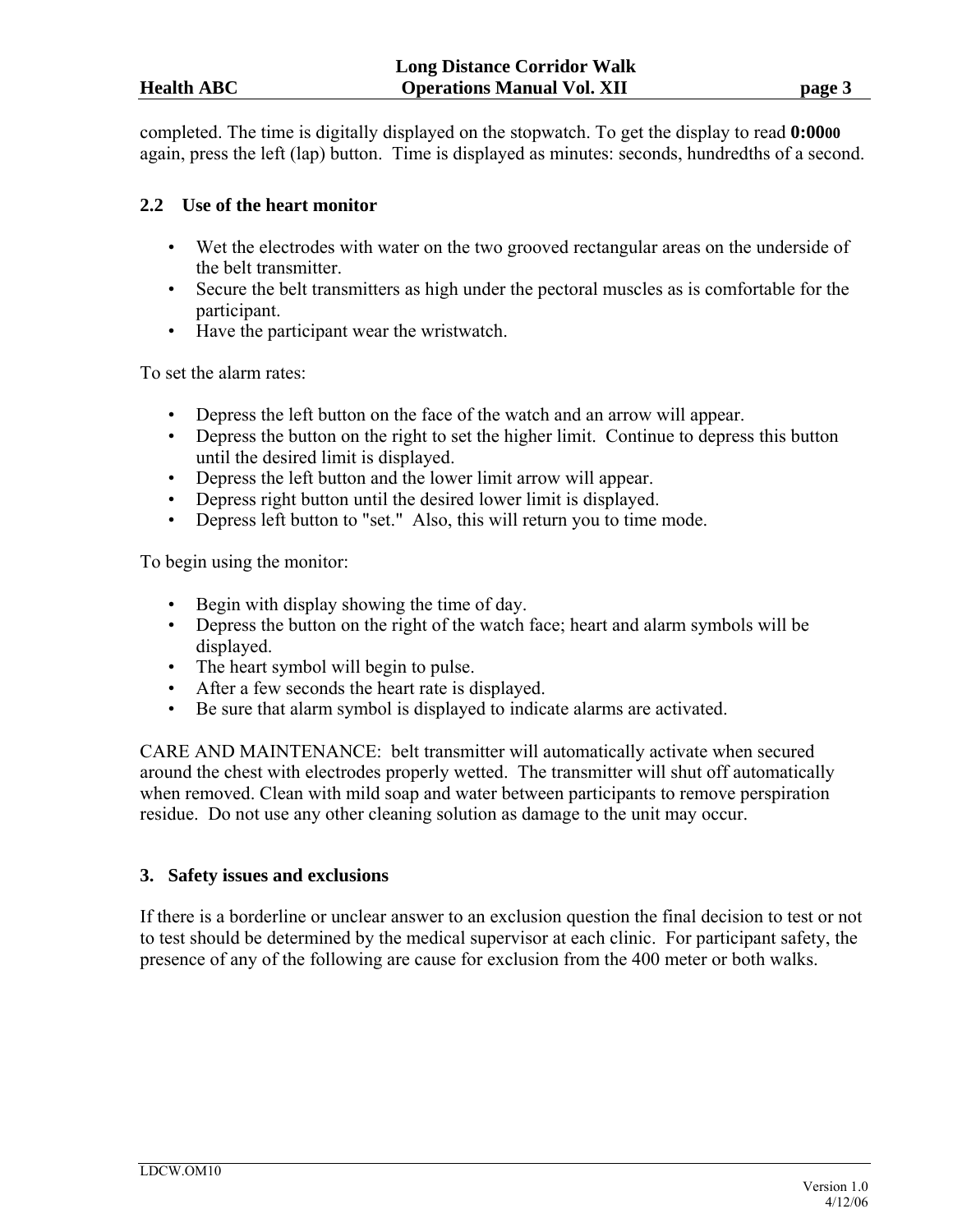completed. The time is digitally displayed on the stopwatch. To get the display to read **0:0000** again, press the left (lap) button. Time is displayed as minutes: seconds, hundredths of a second.

# **2.2 Use of the heart monitor**

- Wet the electrodes with water on the two grooved rectangular areas on the underside of the belt transmitter.
- Secure the belt transmitters as high under the pectoral muscles as is comfortable for the participant.
- Have the participant wear the wristwatch.

To set the alarm rates:

- Depress the left button on the face of the watch and an arrow will appear.
- Depress the button on the right to set the higher limit. Continue to depress this button until the desired limit is displayed.
- Depress the left button and the lower limit arrow will appear.
- Depress right button until the desired lower limit is displayed.
- Depress left button to "set." Also, this will return you to time mode.

To begin using the monitor:

- Begin with display showing the time of day.
- Depress the button on the right of the watch face; heart and alarm symbols will be displayed.
- The heart symbol will begin to pulse.
- After a few seconds the heart rate is displayed.
- Be sure that alarm symbol is displayed to indicate alarms are activated.

CARE AND MAINTENANCE: belt transmitter will automatically activate when secured around the chest with electrodes properly wetted. The transmitter will shut off automatically when removed. Clean with mild soap and water between participants to remove perspiration residue. Do not use any other cleaning solution as damage to the unit may occur.

# **3. Safety issues and exclusions**

If there is a borderline or unclear answer to an exclusion question the final decision to test or not to test should be determined by the medical supervisor at each clinic. For participant safety, the presence of any of the following are cause for exclusion from the 400 meter or both walks.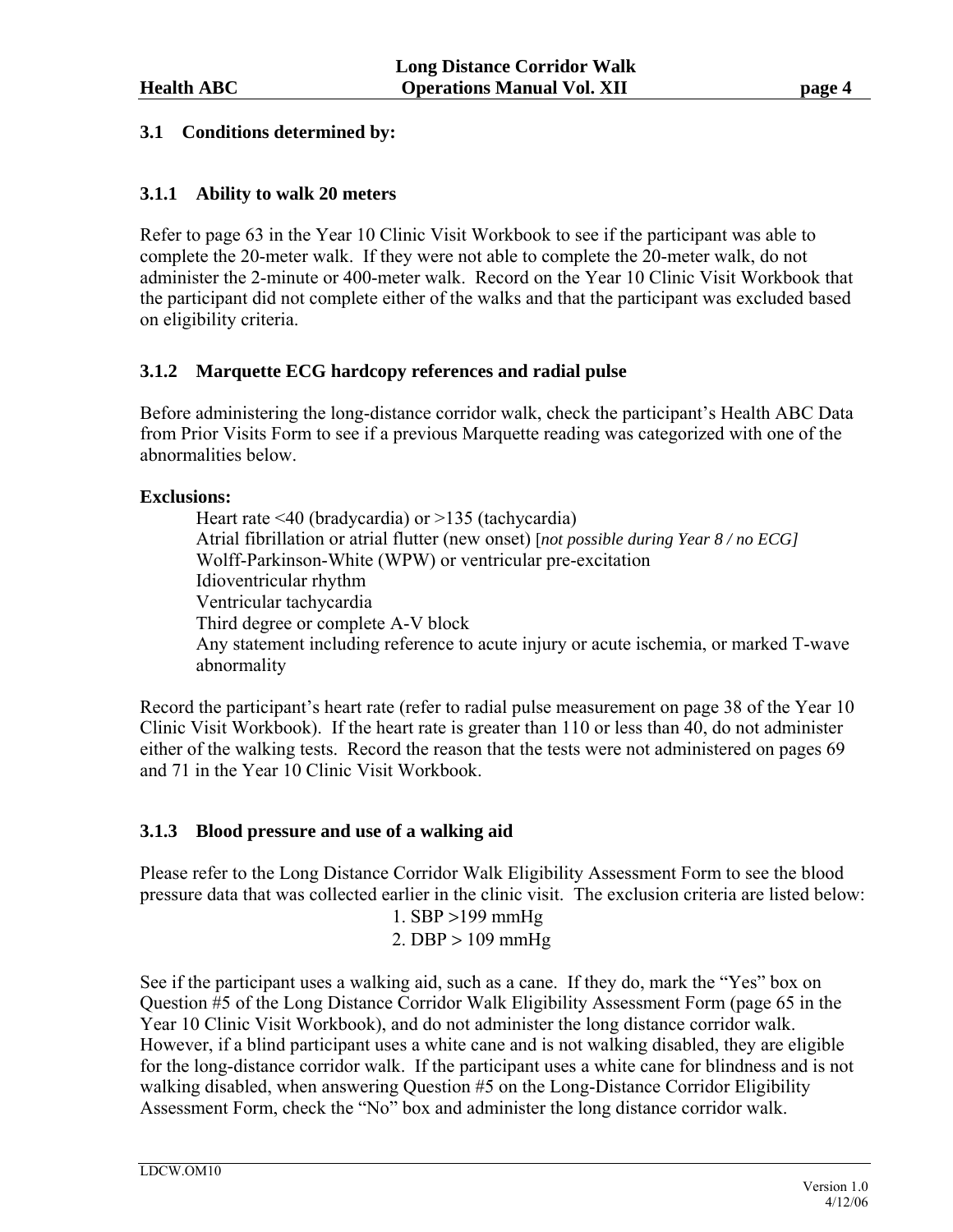# **3.1 Conditions determined by:**

# **3.1.1 Ability to walk 20 meters**

Refer to page 63 in the Year 10 Clinic Visit Workbook to see if the participant was able to complete the 20-meter walk. If they were not able to complete the 20-meter walk, do not administer the 2-minute or 400-meter walk. Record on the Year 10 Clinic Visit Workbook that the participant did not complete either of the walks and that the participant was excluded based on eligibility criteria.

# **3.1.2 Marquette ECG hardcopy references and radial pulse**

Before administering the long-distance corridor walk, check the participant's Health ABC Data from Prior Visits Form to see if a previous Marquette reading was categorized with one of the abnormalities below.

# **Exclusions:**

 Heart rate <40 (bradycardia) or >135 (tachycardia) Atrial fibrillation or atrial flutter (new onset) [*not possible during Year 8 / no ECG]* Wolff-Parkinson-White (WPW) or ventricular pre-excitation Idioventricular rhythm Ventricular tachycardia Third degree or complete A-V block Any statement including reference to acute injury or acute ischemia, or marked T-wave abnormality

Record the participant's heart rate (refer to radial pulse measurement on page 38 of the Year 10 Clinic Visit Workbook). If the heart rate is greater than 110 or less than 40, do not administer either of the walking tests. Record the reason that the tests were not administered on pages 69 and 71 in the Year 10 Clinic Visit Workbook.

# **3.1.3 Blood pressure and use of a walking aid**

Please refer to the Long Distance Corridor Walk Eligibility Assessment Form to see the blood pressure data that was collected earlier in the clinic visit. The exclusion criteria are listed below: 1. SBP >199 mmHg

2. DBP  $> 109$  mmHg

See if the participant uses a walking aid, such as a cane. If they do, mark the "Yes" box on Question #5 of the Long Distance Corridor Walk Eligibility Assessment Form (page 65 in the Year 10 Clinic Visit Workbook), and do not administer the long distance corridor walk. However, if a blind participant uses a white cane and is not walking disabled, they are eligible for the long-distance corridor walk. If the participant uses a white cane for blindness and is not walking disabled, when answering Question #5 on the Long-Distance Corridor Eligibility Assessment Form, check the "No" box and administer the long distance corridor walk.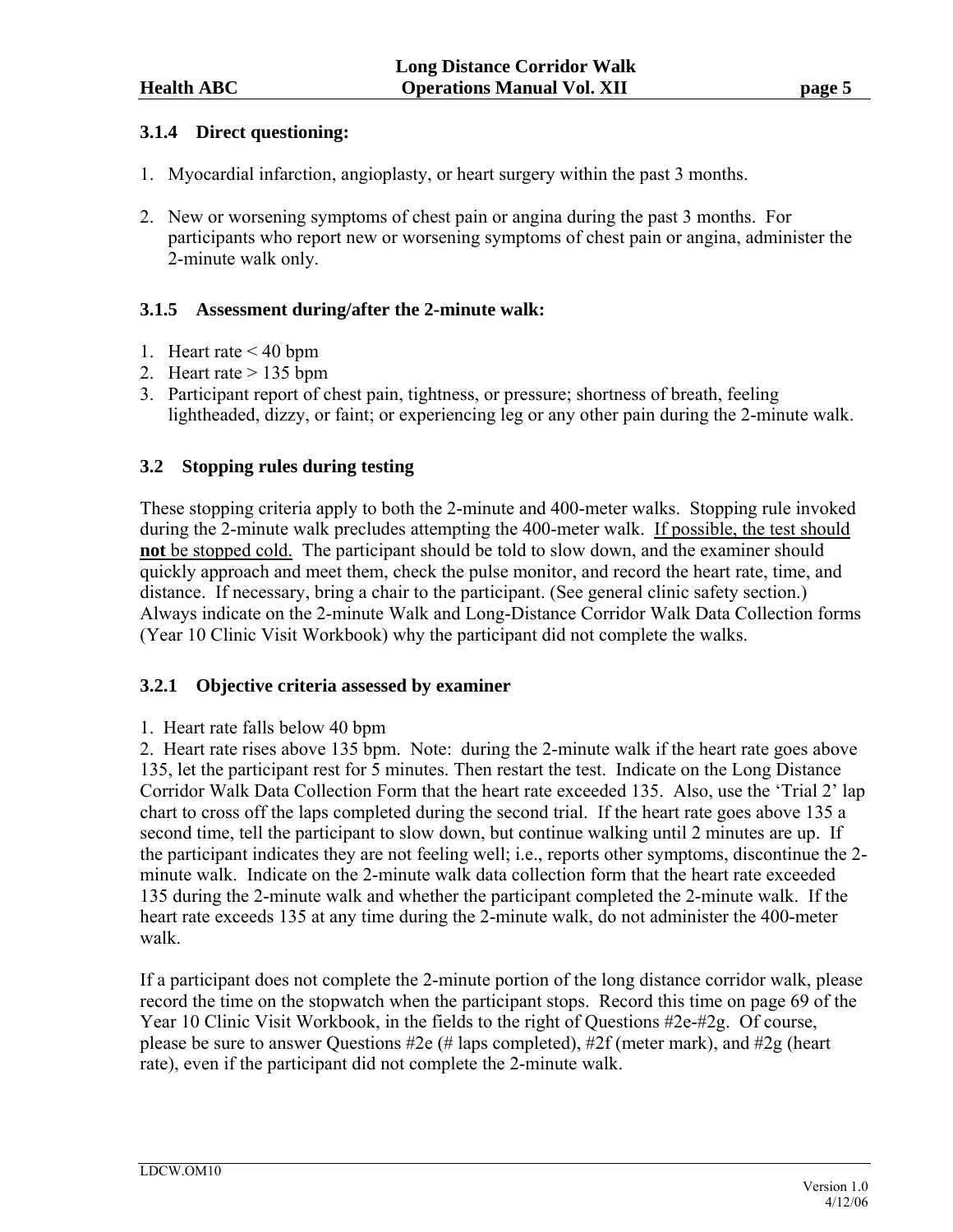# **3.1.4 Direct questioning:**

- 1. Myocardial infarction, angioplasty, or heart surgery within the past 3 months.
- 2. New or worsening symptoms of chest pain or angina during the past 3 months. For participants who report new or worsening symptoms of chest pain or angina, administer the 2-minute walk only.

# **3.1.5 Assessment during/after the 2-minute walk:**

- 1. Heart rate < 40 bpm
- 2. Heart rate > 135 bpm
- 3. Participant report of chest pain, tightness, or pressure; shortness of breath, feeling lightheaded, dizzy, or faint; or experiencing leg or any other pain during the 2-minute walk.

# **3.2 Stopping rules during testing**

These stopping criteria apply to both the 2-minute and 400-meter walks. Stopping rule invoked during the 2-minute walk precludes attempting the 400-meter walk. If possible, the test should **not** be stopped cold. The participant should be told to slow down, and the examiner should quickly approach and meet them, check the pulse monitor, and record the heart rate, time, and distance. If necessary, bring a chair to the participant. (See general clinic safety section.) Always indicate on the 2-minute Walk and Long-Distance Corridor Walk Data Collection forms (Year 10 Clinic Visit Workbook) why the participant did not complete the walks.

# **3.2.1 Objective criteria assessed by examiner**

1. Heart rate falls below 40 bpm

2. Heart rate rises above 135 bpm. Note: during the 2-minute walk if the heart rate goes above 135, let the participant rest for 5 minutes. Then restart the test. Indicate on the Long Distance Corridor Walk Data Collection Form that the heart rate exceeded 135. Also, use the 'Trial 2' lap chart to cross off the laps completed during the second trial. If the heart rate goes above 135 a second time, tell the participant to slow down, but continue walking until 2 minutes are up. If the participant indicates they are not feeling well; i.e., reports other symptoms, discontinue the 2 minute walk. Indicate on the 2-minute walk data collection form that the heart rate exceeded 135 during the 2-minute walk and whether the participant completed the 2-minute walk. If the heart rate exceeds 135 at any time during the 2-minute walk, do not administer the 400-meter walk.

If a participant does not complete the 2-minute portion of the long distance corridor walk, please record the time on the stopwatch when the participant stops. Record this time on page 69 of the Year 10 Clinic Visit Workbook, in the fields to the right of Questions #2e-#2g. Of course, please be sure to answer Questions #2e (# laps completed), #2f (meter mark), and #2g (heart rate), even if the participant did not complete the 2-minute walk.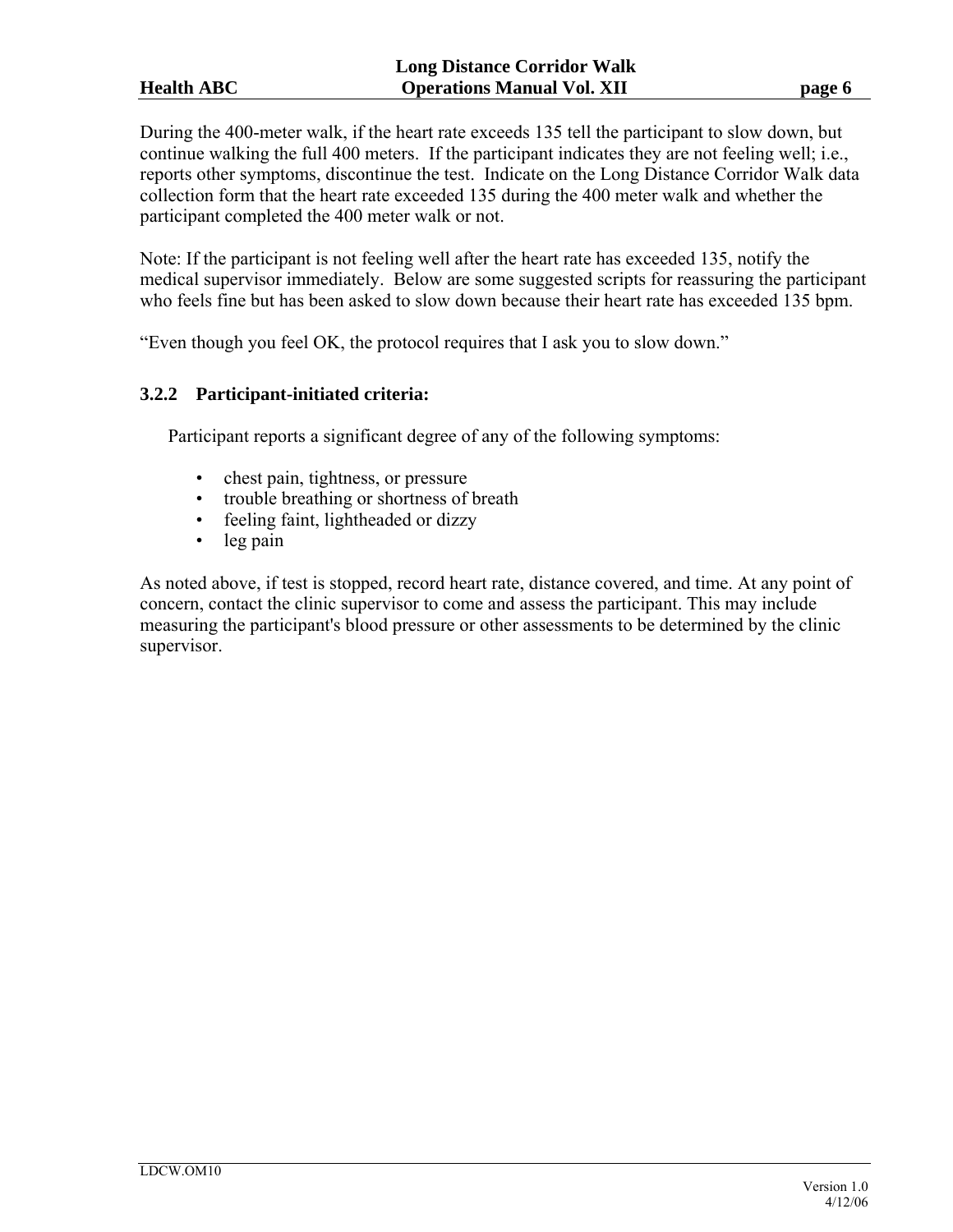During the 400-meter walk, if the heart rate exceeds 135 tell the participant to slow down, but continue walking the full 400 meters. If the participant indicates they are not feeling well; i.e., reports other symptoms, discontinue the test. Indicate on the Long Distance Corridor Walk data collection form that the heart rate exceeded 135 during the 400 meter walk and whether the participant completed the 400 meter walk or not.

Note: If the participant is not feeling well after the heart rate has exceeded 135, notify the medical supervisor immediately. Below are some suggested scripts for reassuring the participant who feels fine but has been asked to slow down because their heart rate has exceeded 135 bpm.

"Even though you feel OK, the protocol requires that I ask you to slow down."

# **3.2.2 Participant-initiated criteria:**

Participant reports a significant degree of any of the following symptoms:

- chest pain, tightness, or pressure
- trouble breathing or shortness of breath
- feeling faint, lightheaded or dizzy
- leg pain

As noted above, if test is stopped, record heart rate, distance covered, and time. At any point of concern, contact the clinic supervisor to come and assess the participant. This may include measuring the participant's blood pressure or other assessments to be determined by the clinic supervisor.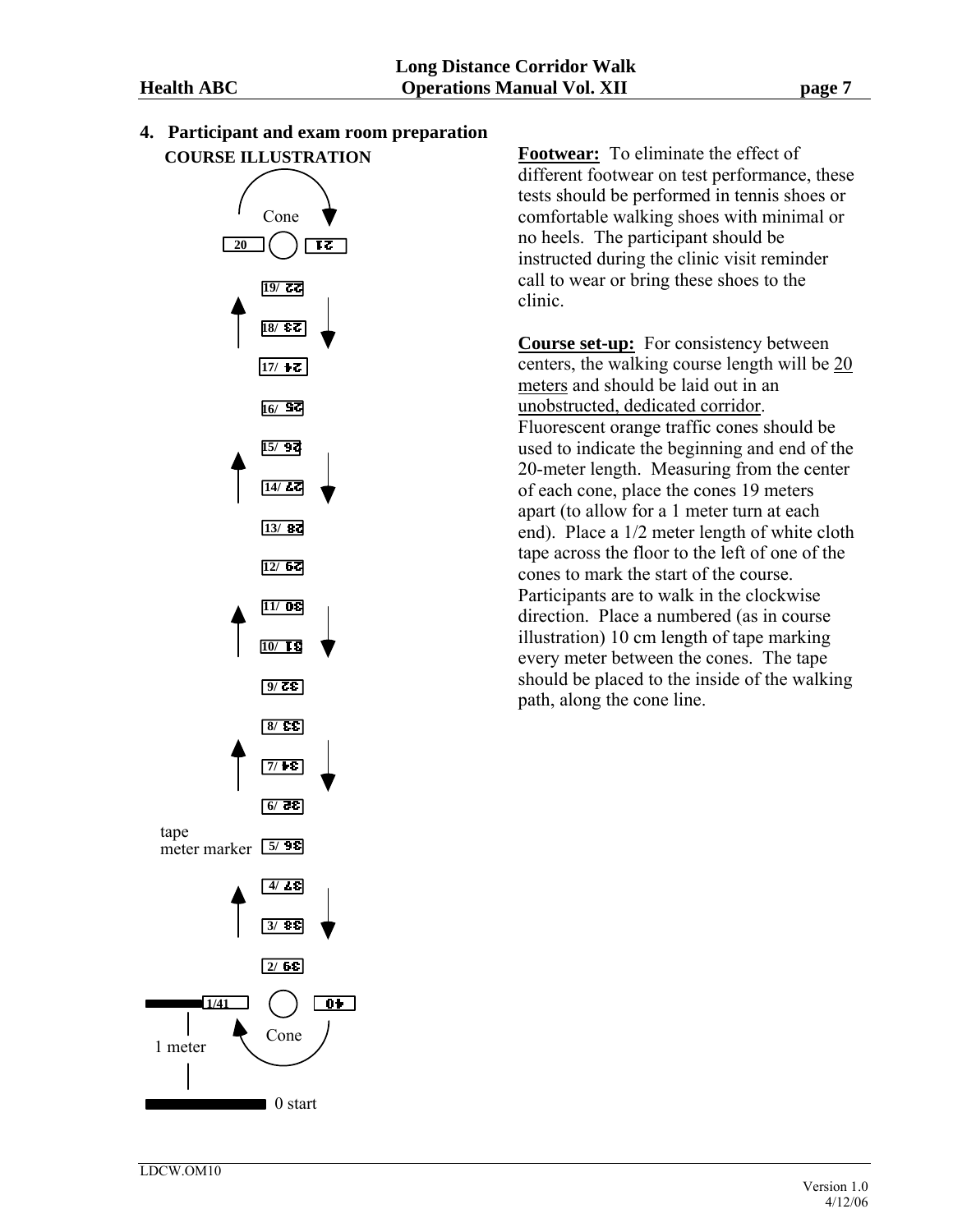

**4. Participant and exam room preparation** 

**Footwear:** To eliminate the effect of different footwear on test performance, these tests should be performed in tennis shoes or comfortable walking shoes with minimal or no heels. The participant should be instructed during the clinic visit reminder call to wear or bring these shoes to the clinic.

**Course set-up:** For consistency between centers, the walking course length will be 20 meters and should be laid out in an unobstructed, dedicated corridor. Fluorescent orange traffic cones should be used to indicate the beginning and end of the 20-meter length. Measuring from the center of each cone, place the cones 19 meters apart (to allow for a 1 meter turn at each end). Place a 1/2 meter length of white cloth tape across the floor to the left of one of the cones to mark the start of the course. Participants are to walk in the clockwise direction. Place a numbered (as in course illustration) 10 cm length of tape marking every meter between the cones. The tape should be placed to the inside of the walking path, along the cone line.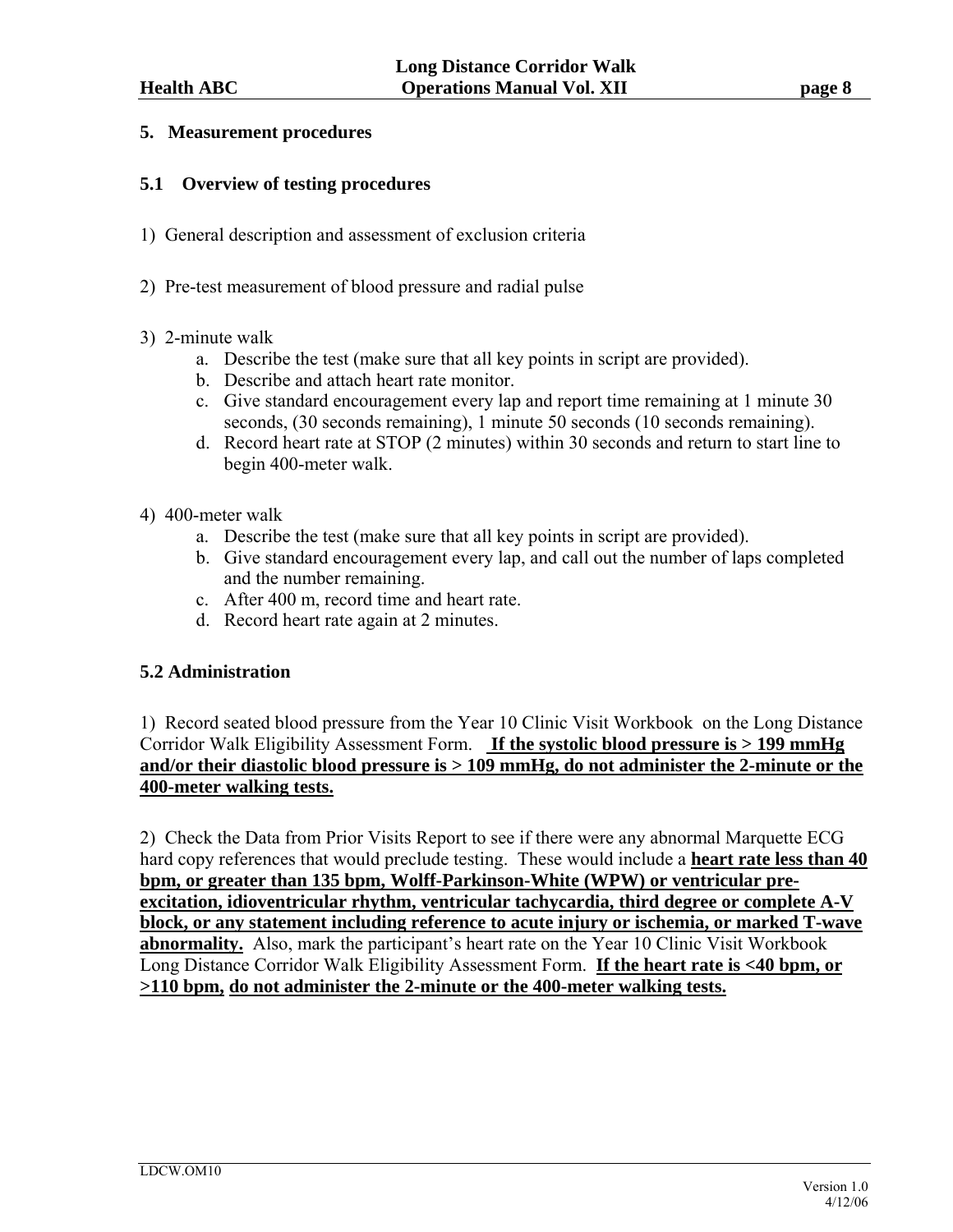### **5. Measurement procedures**

### **5.1 Overview of testing procedures**

- 1) General description and assessment of exclusion criteria
- 2) Pre-test measurement of blood pressure and radial pulse

### 3) 2-minute walk

- a. Describe the test (make sure that all key points in script are provided).
- b. Describe and attach heart rate monitor.
- c. Give standard encouragement every lap and report time remaining at 1 minute 30 seconds, (30 seconds remaining), 1 minute 50 seconds (10 seconds remaining).
- d. Record heart rate at STOP (2 minutes) within 30 seconds and return to start line to begin 400-meter walk.
- 4) 400-meter walk
	- a. Describe the test (make sure that all key points in script are provided).
	- b. Give standard encouragement every lap, and call out the number of laps completed and the number remaining.
	- c. After 400 m, record time and heart rate.
	- d. Record heart rate again at 2 minutes.

# **5.2 Administration**

1) Record seated blood pressure from the Year 10 Clinic Visit Workbook on the Long Distance Corridor Walk Eligibility Assessment Form. **If the systolic blood pressure is > 199 mmHg and/or their diastolic blood pressure is > 109 mmHg, do not administer the 2-minute or the 400-meter walking tests.** 

2) Check the Data from Prior Visits Report to see if there were any abnormal Marquette ECG hard copy references that would preclude testing. These would include a **heart rate less than 40 bpm, or greater than 135 bpm, Wolff-Parkinson-White (WPW) or ventricular preexcitation, idioventricular rhythm, ventricular tachycardia, third degree or complete A-V block, or any statement including reference to acute injury or ischemia, or marked T-wave abnormality.** Also, mark the participant's heart rate on the Year 10 Clinic Visit Workbook Long Distance Corridor Walk Eligibility Assessment Form. **If the heart rate is <40 bpm, or >110 bpm, do not administer the 2-minute or the 400-meter walking tests.**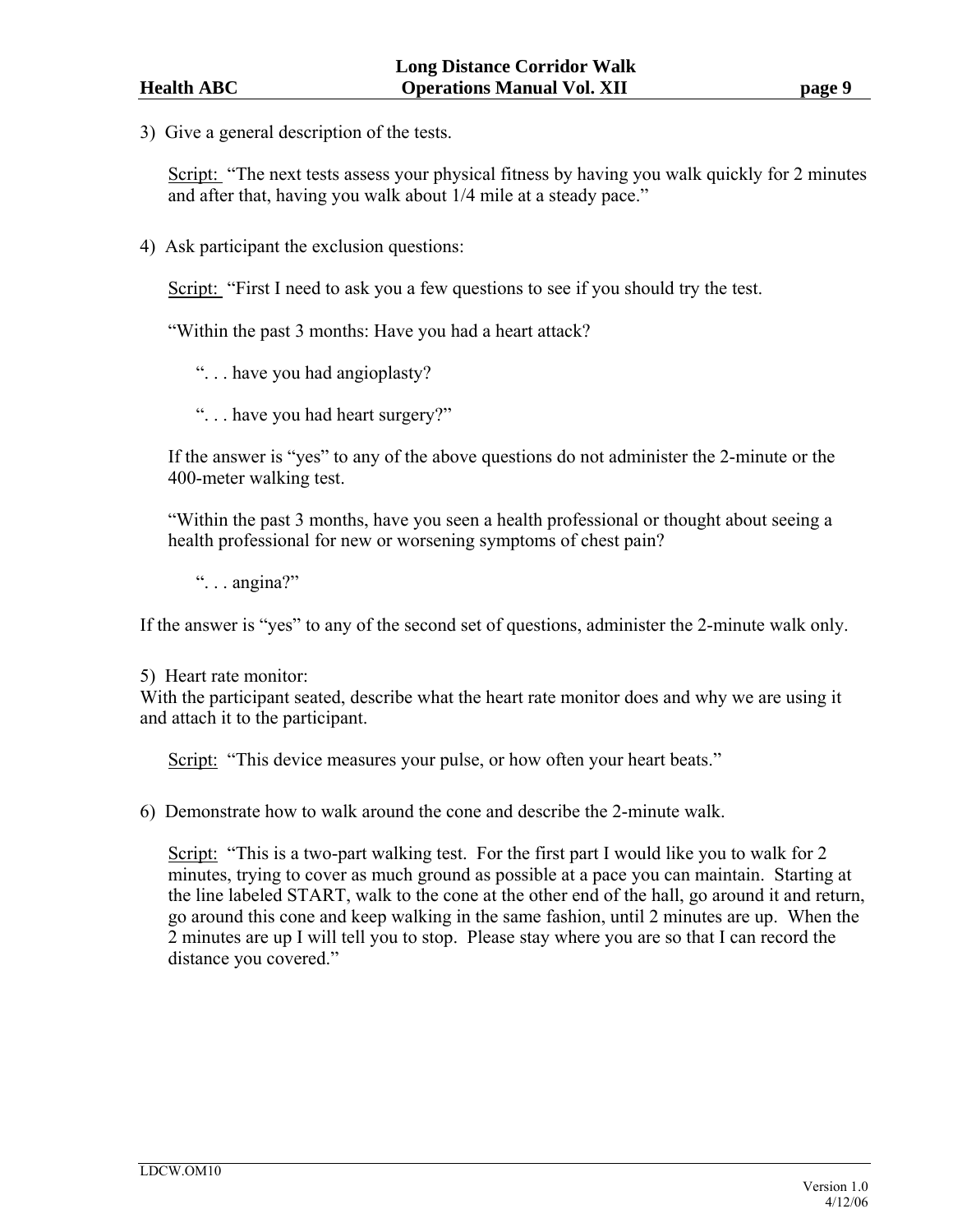3) Give a general description of the tests.

Script: "The next tests assess your physical fitness by having you walk quickly for 2 minutes and after that, having you walk about 1/4 mile at a steady pace."

4) Ask participant the exclusion questions:

Script: "First I need to ask you a few questions to see if you should try the test.

"Within the past 3 months: Have you had a heart attack?

". . . have you had angioplasty?

". . . have you had heart surgery?"

If the answer is "yes" to any of the above questions do not administer the 2-minute or the 400-meter walking test.

"Within the past 3 months, have you seen a health professional or thought about seeing a health professional for new or worsening symptoms of chest pain?

" $\ldots$  angina?"

If the answer is "yes" to any of the second set of questions, administer the 2-minute walk only.

#### 5) Heart rate monitor:

With the participant seated, describe what the heart rate monitor does and why we are using it and attach it to the participant.

Script: "This device measures your pulse, or how often your heart beats."

6) Demonstrate how to walk around the cone and describe the 2-minute walk.

Script: "This is a two-part walking test. For the first part I would like you to walk for 2 minutes, trying to cover as much ground as possible at a pace you can maintain.Starting at the line labeled START, walk to the cone at the other end of the hall, go around it and return, go around this cone and keep walking in the same fashion, until 2 minutes are up. When the 2 minutes are up I will tell you to stop. Please stay where you are so that I can record the distance you covered."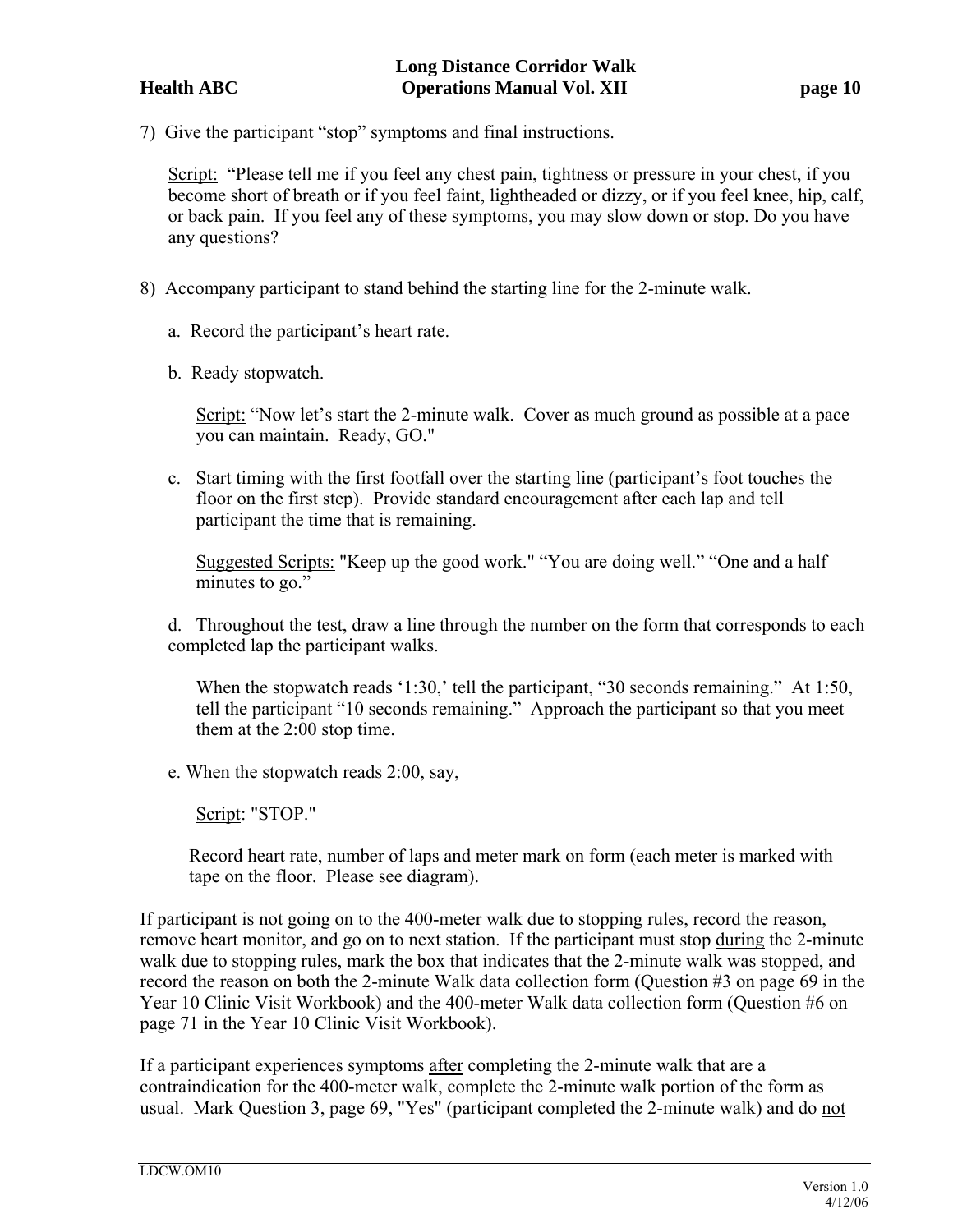7) Give the participant "stop" symptoms and final instructions.

Script: "Please tell me if you feel any chest pain, tightness or pressure in your chest, if you become short of breath or if you feel faint, lightheaded or dizzy, or if you feel knee, hip, calf, or back pain. If you feel any of these symptoms, you may slow down or stop. Do you have any questions?

- 8) Accompany participant to stand behind the starting line for the 2-minute walk.
	- a. Record the participant's heart rate.
	- b. Ready stopwatch.

Script: "Now let's start the 2-minute walk. Cover as much ground as possible at a pace you can maintain. Ready, GO."

c. Start timing with the first footfall over the starting line (participant's foot touches the floor on the first step). Provide standard encouragement after each lap and tell participant the time that is remaining.

Suggested Scripts: "Keep up the good work." "You are doing well." "One and a half minutes to go."

d. Throughout the test, draw a line through the number on the form that corresponds to each completed lap the participant walks.

When the stopwatch reads '1:30,' tell the participant, "30 seconds remaining." At 1:50, tell the participant "10 seconds remaining." Approach the participant so that you meet them at the 2:00 stop time.

e. When the stopwatch reads 2:00, say,

Script: "STOP."

Record heart rate, number of laps and meter mark on form (each meter is marked with tape on the floor. Please see diagram).

If participant is not going on to the 400-meter walk due to stopping rules, record the reason, remove heart monitor, and go on to next station. If the participant must stop during the 2-minute walk due to stopping rules, mark the box that indicates that the 2-minute walk was stopped, and record the reason on both the 2-minute Walk data collection form (Question #3 on page 69 in the Year 10 Clinic Visit Workbook) and the 400-meter Walk data collection form (Question #6 on page 71 in the Year 10 Clinic Visit Workbook).

If a participant experiences symptoms after completing the 2-minute walk that are a contraindication for the 400-meter walk, complete the 2-minute walk portion of the form as usual. Mark Question 3, page 69, "Yes" (participant completed the 2-minute walk) and do not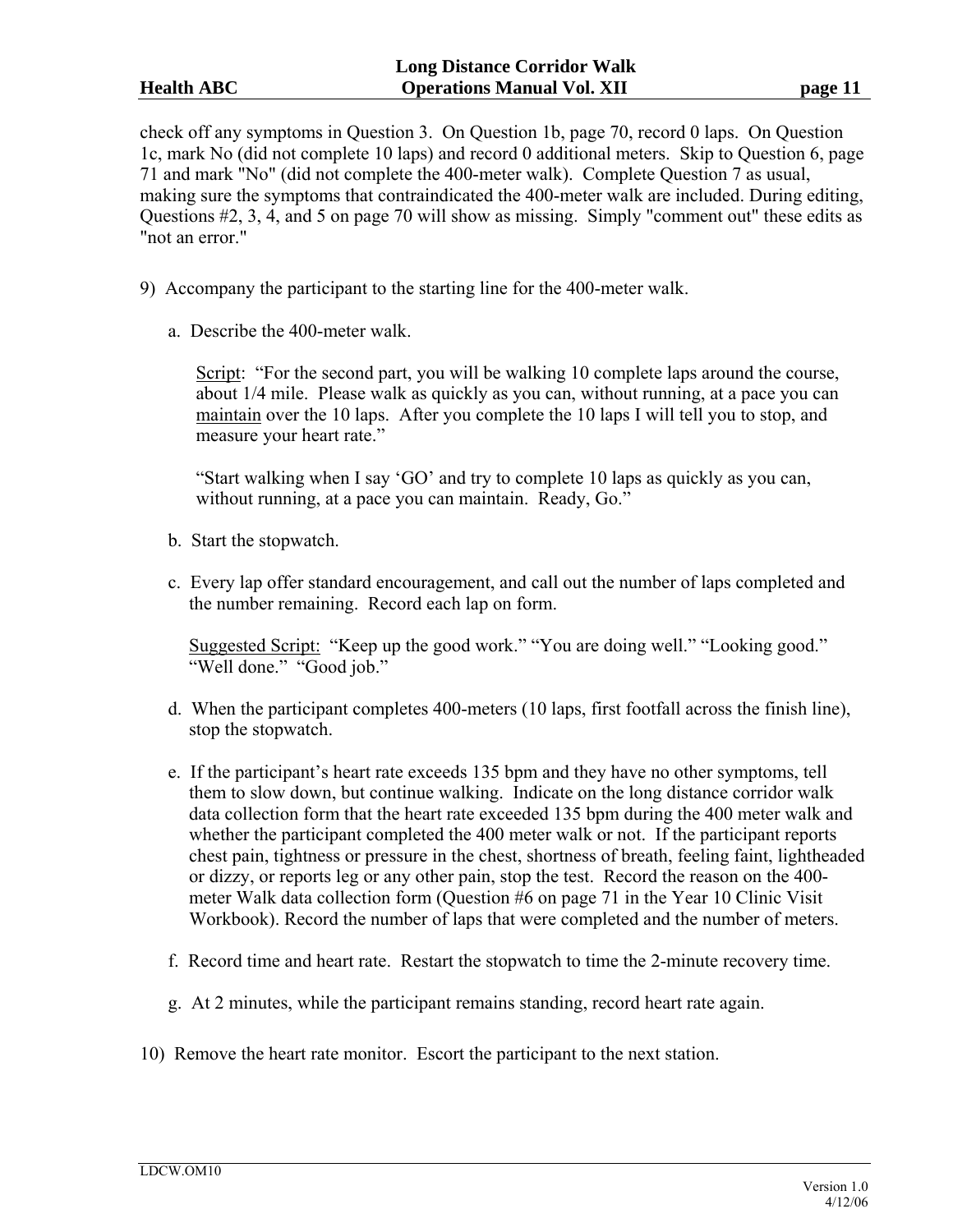check off any symptoms in Question 3. On Question 1b, page 70, record 0 laps. On Question 1c, mark No (did not complete 10 laps) and record 0 additional meters. Skip to Question 6, page 71 and mark "No" (did not complete the 400-meter walk). Complete Question 7 as usual, making sure the symptoms that contraindicated the 400-meter walk are included. During editing, Questions #2, 3, 4, and 5 on page 70 will show as missing. Simply "comment out" these edits as "not an error."

- 9) Accompany the participant to the starting line for the 400-meter walk.
	- a. Describe the 400-meter walk.

Script: "For the second part, you will be walking 10 complete laps around the course, about 1/4 mile. Please walk as quickly as you can, without running, at a pace you can maintain over the 10 laps. After you complete the 10 laps I will tell you to stop, and measure your heart rate."

"Start walking when I say 'GO' and try to complete 10 laps as quickly as you can, without running, at a pace you can maintain. Ready, Go."

- b. Start the stopwatch.
- c. Every lap offer standard encouragement, and call out the number of laps completed and the number remaining. Record each lap on form.

Suggested Script: "Keep up the good work." "You are doing well." "Looking good." "Well done." "Good job."

- d. When the participant completes 400-meters (10 laps, first footfall across the finish line), stop the stopwatch.
- e. If the participant's heart rate exceeds 135 bpm and they have no other symptoms, tell them to slow down, but continue walking. Indicate on the long distance corridor walk data collection form that the heart rate exceeded 135 bpm during the 400 meter walk and whether the participant completed the 400 meter walk or not. If the participant reports chest pain, tightness or pressure in the chest, shortness of breath, feeling faint, lightheaded or dizzy, or reports leg or any other pain, stop the test. Record the reason on the 400 meter Walk data collection form (Question #6 on page 71 in the Year 10 Clinic Visit Workbook). Record the number of laps that were completed and the number of meters.
- f. Record time and heart rate. Restart the stopwatch to time the 2-minute recovery time.
- g. At 2 minutes, while the participant remains standing, record heart rate again.
- 10) Remove the heart rate monitor. Escort the participant to the next station.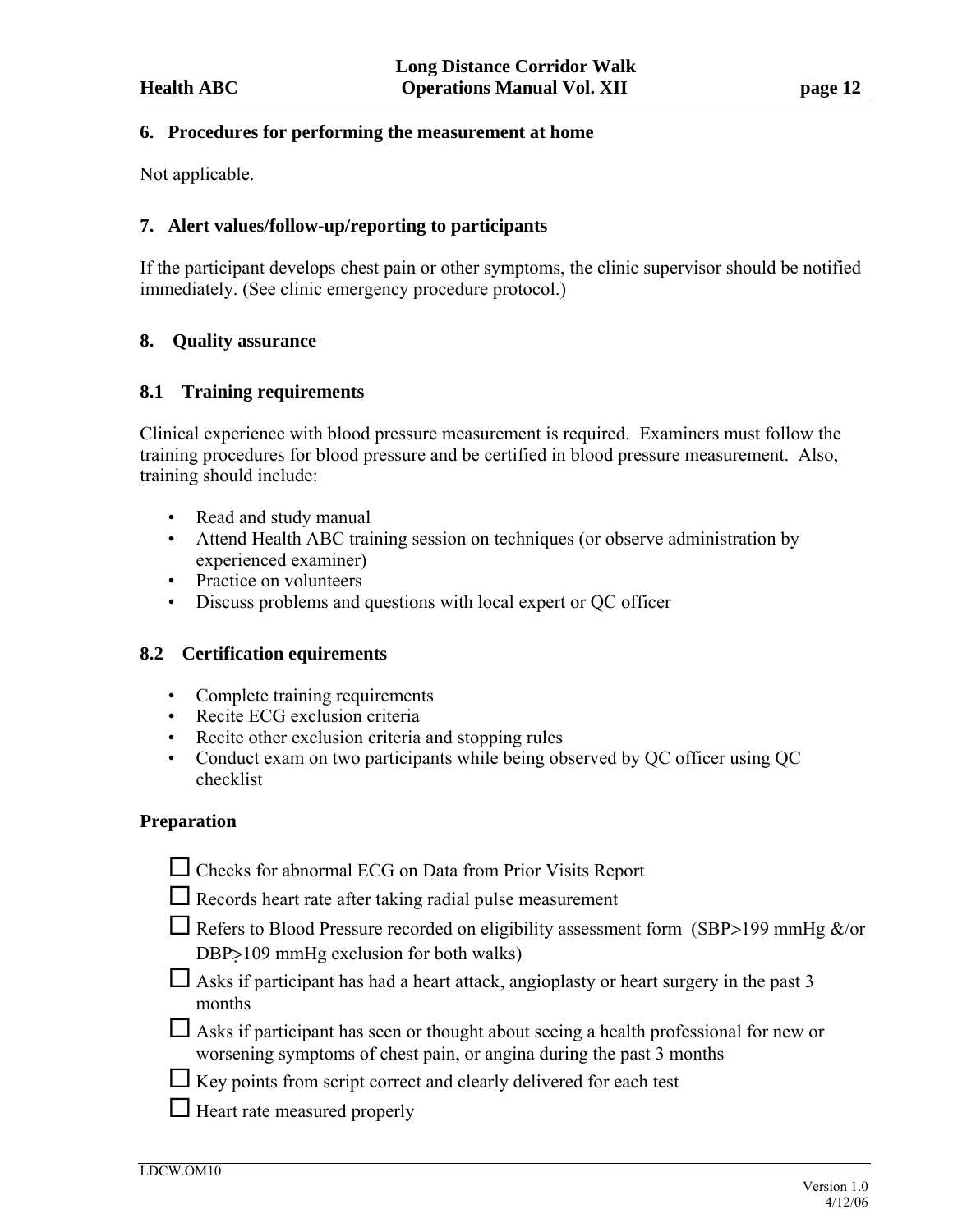### **6. Procedures for performing the measurement at home**

Not applicable.

# **7. Alert values/follow-up/reporting to participants**

If the participant develops chest pain or other symptoms, the clinic supervisor should be notified immediately. (See clinic emergency procedure protocol.)

# **8. Quality assurance**

# **8.1 Training requirements**

Clinical experience with blood pressure measurement is required. Examiners must follow the training procedures for blood pressure and be certified in blood pressure measurement. Also, training should include:

- Read and study manual
- Attend Health ABC training session on techniques (or observe administration by experienced examiner)
- Practice on volunteers
- Discuss problems and questions with local expert or QC officer

# **8.2 Certification equirements**

- Complete training requirements
- Recite ECG exclusion criteria
- Recite other exclusion criteria and stopping rules
- Conduct exam on two participants while being observed by QC officer using QC checklist

# **Preparation**

| $\Box$ Checks for abnormal ECG on Data from Prior Visits Report |
|-----------------------------------------------------------------|
|-----------------------------------------------------------------|

- $\Box$  Records heart rate after taking radial pulse measurement
- $\Box$  Refers to Blood Pressure recorded on eligibility assessment form (SBP>199 mmHg &/or DBP>109 mmHg exclusion for both walks)
- $\Box$  Asks if participant has had a heart attack, angioplasty or heart surgery in the past 3 months
- $\Box$  Asks if participant has seen or thought about seeing a health professional for new or worsening symptoms of chest pain, or angina during the past 3 months
- $\Box$  Key points from script correct and clearly delivered for each test
- $\Box$  Heart rate measured properly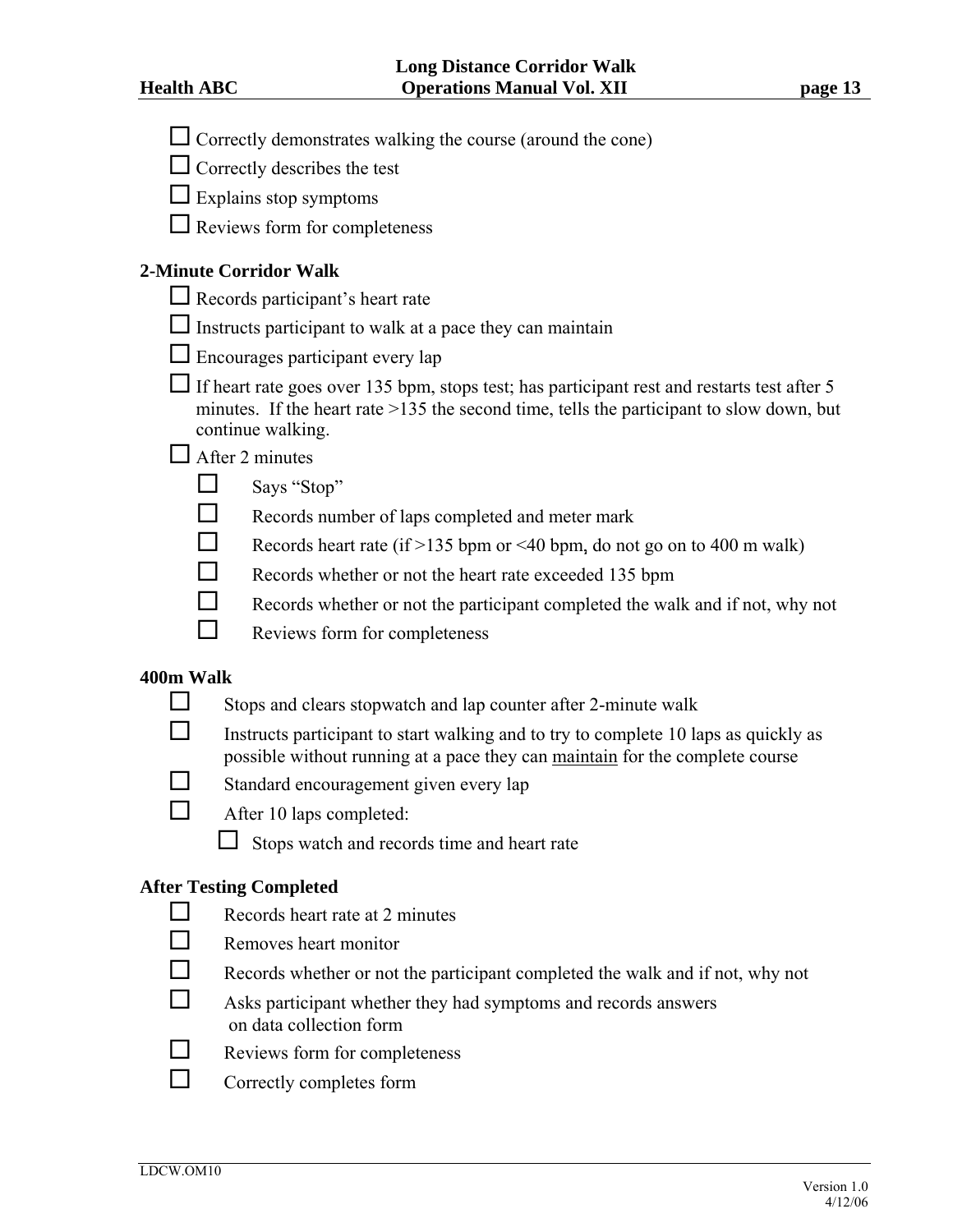- $\Box$  Correctly demonstrates walking the course (around the cone)
- $\Box$  Correctly describes the test
- $\Box$  Explains stop symptoms
- $\Box$  Reviews form for completeness

# **2-Minute Corridor Walk**

- $\Box$  Records participant's heart rate
- $\Box$  Instructs participant to walk at a pace they can maintain
- $\Box$  Encourages participant every lap
- If heart rate goes over 135 bpm, stops test; has participant rest and restarts test after 5 minutes. If the heart rate >135 the second time, tells the participant to slow down, but continue walking.

# $\Box$  After 2 minutes

- $\Box$  Says "Stop"
- $\Box$  Records number of laps completed and meter mark
- Records heart rate (if >135 bpm or <40 bpm, do not go on to 400 m walk)
- Records whether or not the heart rate exceeded 135 bpm
- Records whether or not the participant completed the walk and if not, why not
- $\Box$  Reviews form for completeness

# **400m Walk**

- $\Box$  Stops and clears stopwatch and lap counter after 2-minute walk
- $\Box$  Instructs participant to start walking and to try to complete 10 laps as quickly as possible without running at a pace they can maintain for the complete course
- $\Box$  Standard encouragement given every lap
- $\Box$  After 10 laps completed:
	- $\Box$  Stops watch and records time and heart rate

# **After Testing Completed**

- $\Box$  Records heart rate at 2 minutes
- $\Box$  Removes heart monitor
- $\Box$  Records whether or not the participant completed the walk and if not, why not
- $\Box$  Asks participant whether they had symptoms and records answers on data collection form
- $\Box$  Reviews form for completeness
- $\Box$  Correctly completes form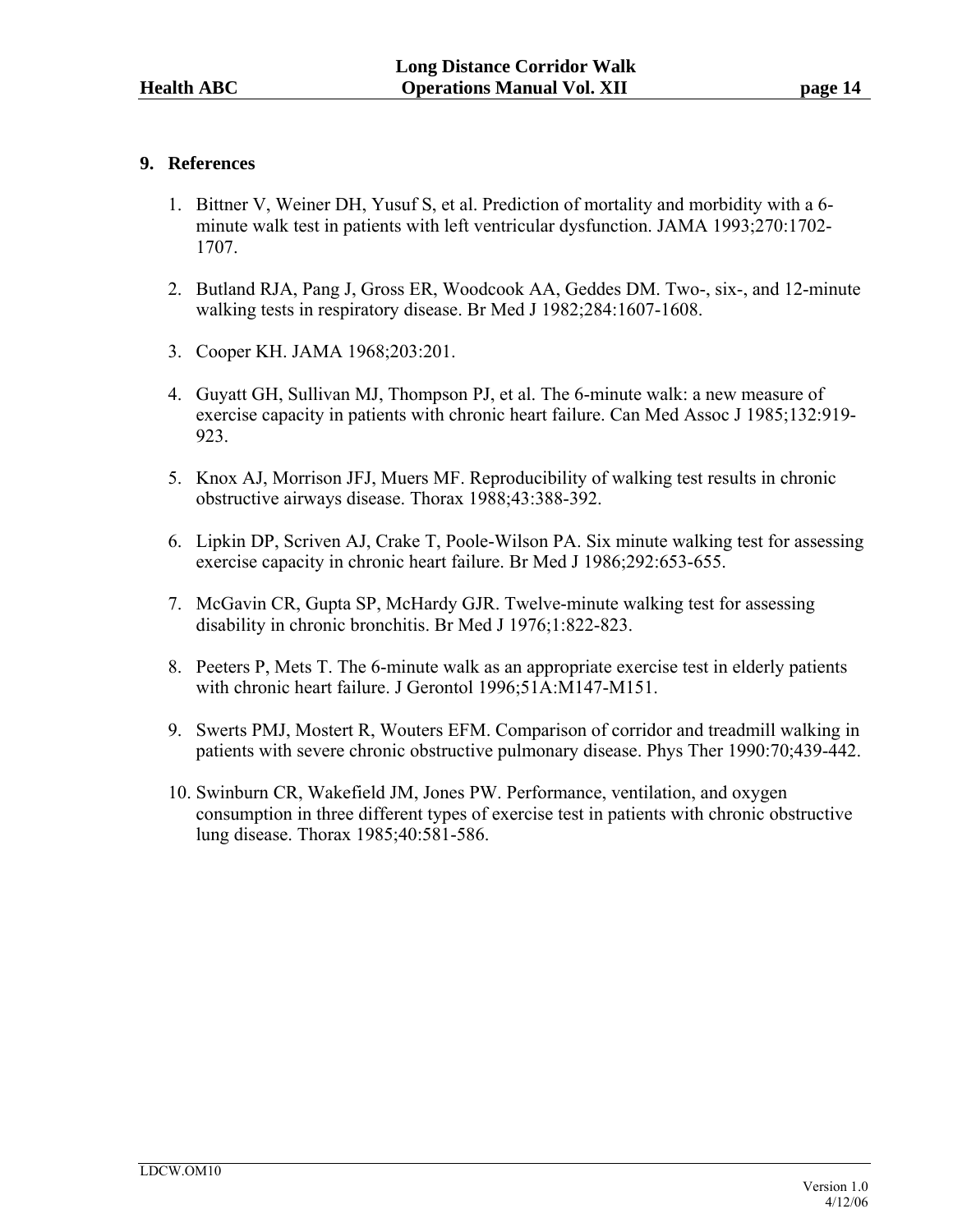# **9. References**

- 1. Bittner V, Weiner DH, Yusuf S, et al. Prediction of mortality and morbidity with a 6 minute walk test in patients with left ventricular dysfunction. JAMA 1993;270:1702- 1707.
- 2. Butland RJA, Pang J, Gross ER, Woodcook AA, Geddes DM. Two-, six-, and 12-minute walking tests in respiratory disease. Br Med J 1982;284:1607-1608.
- 3. Cooper KH. JAMA 1968;203:201.
- 4. Guyatt GH, Sullivan MJ, Thompson PJ, et al. The 6-minute walk: a new measure of exercise capacity in patients with chronic heart failure. Can Med Assoc J 1985;132:919- 923.
- 5. Knox AJ, Morrison JFJ, Muers MF. Reproducibility of walking test results in chronic obstructive airways disease. Thorax 1988;43:388-392.
- 6. Lipkin DP, Scriven AJ, Crake T, Poole-Wilson PA. Six minute walking test for assessing exercise capacity in chronic heart failure. Br Med J 1986;292:653-655.
- 7. McGavin CR, Gupta SP, McHardy GJR. Twelve-minute walking test for assessing disability in chronic bronchitis. Br Med J 1976;1:822-823.
- 8. Peeters P, Mets T. The 6-minute walk as an appropriate exercise test in elderly patients with chronic heart failure. J Gerontol 1996;51A:M147-M151.
- 9. Swerts PMJ, Mostert R, Wouters EFM. Comparison of corridor and treadmill walking in patients with severe chronic obstructive pulmonary disease. Phys Ther 1990:70;439-442.
- 10. Swinburn CR, Wakefield JM, Jones PW. Performance, ventilation, and oxygen consumption in three different types of exercise test in patients with chronic obstructive lung disease. Thorax 1985;40:581-586.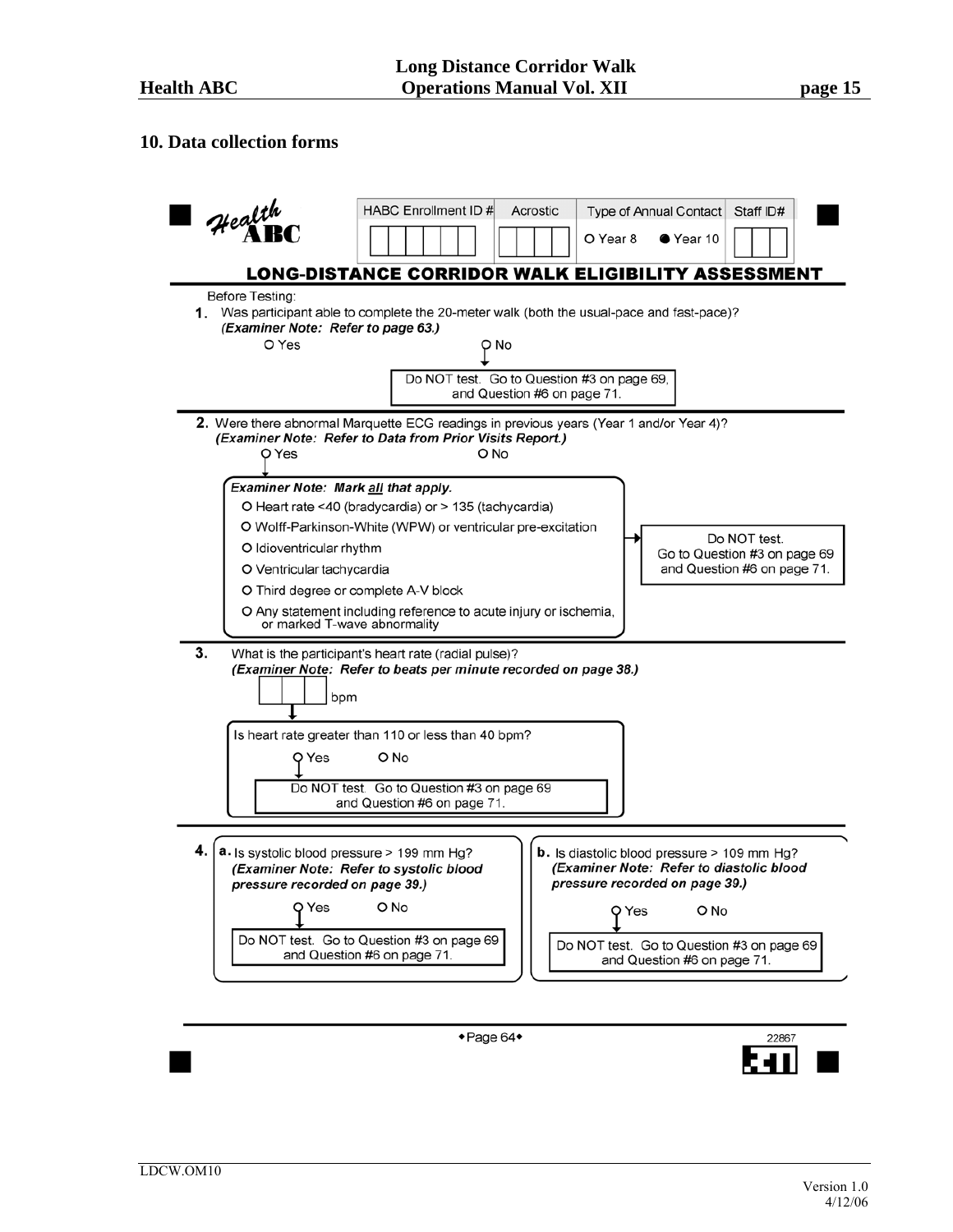#### **10. Data collection forms**



 $\bullet$  Page 64 $\bullet$ 

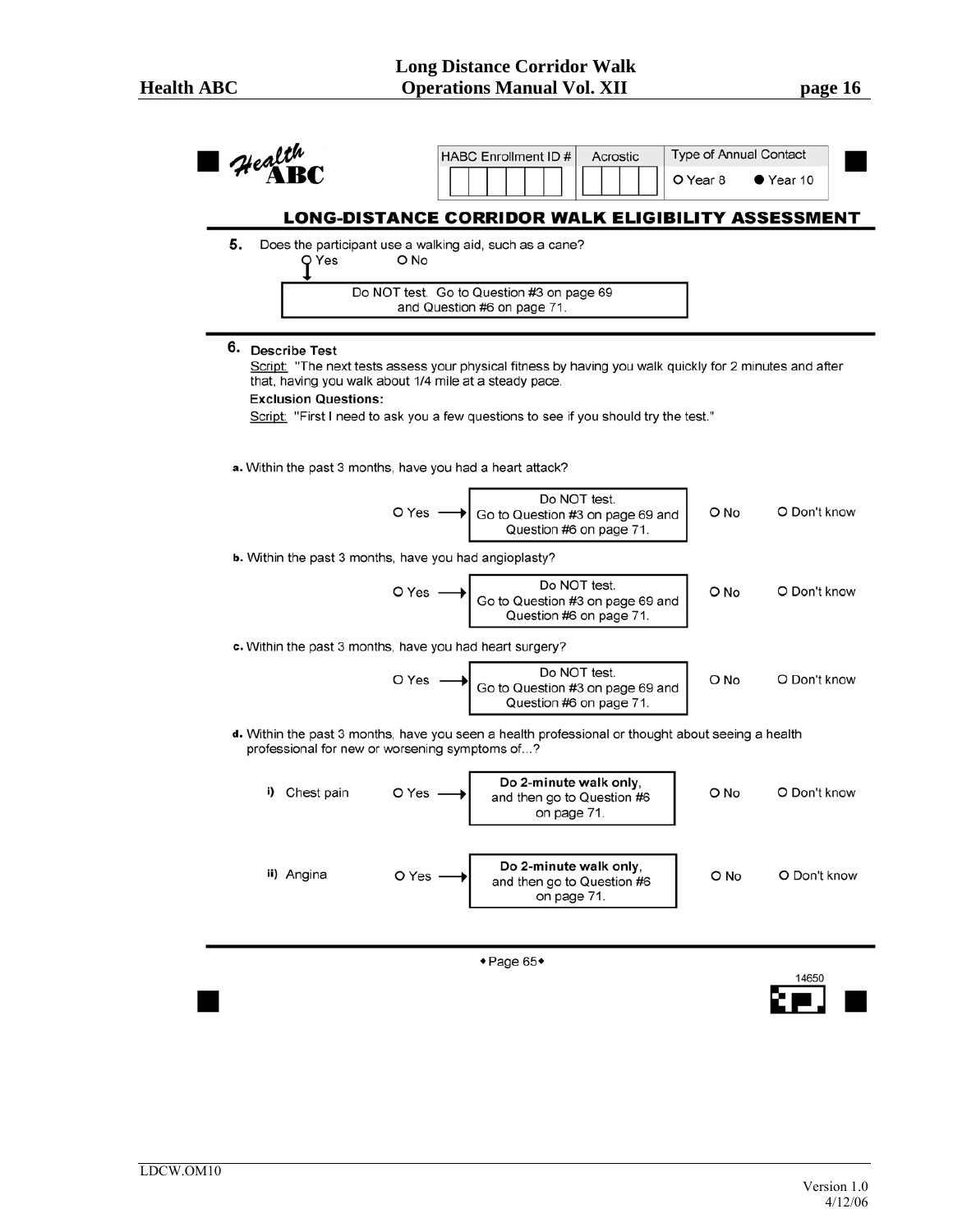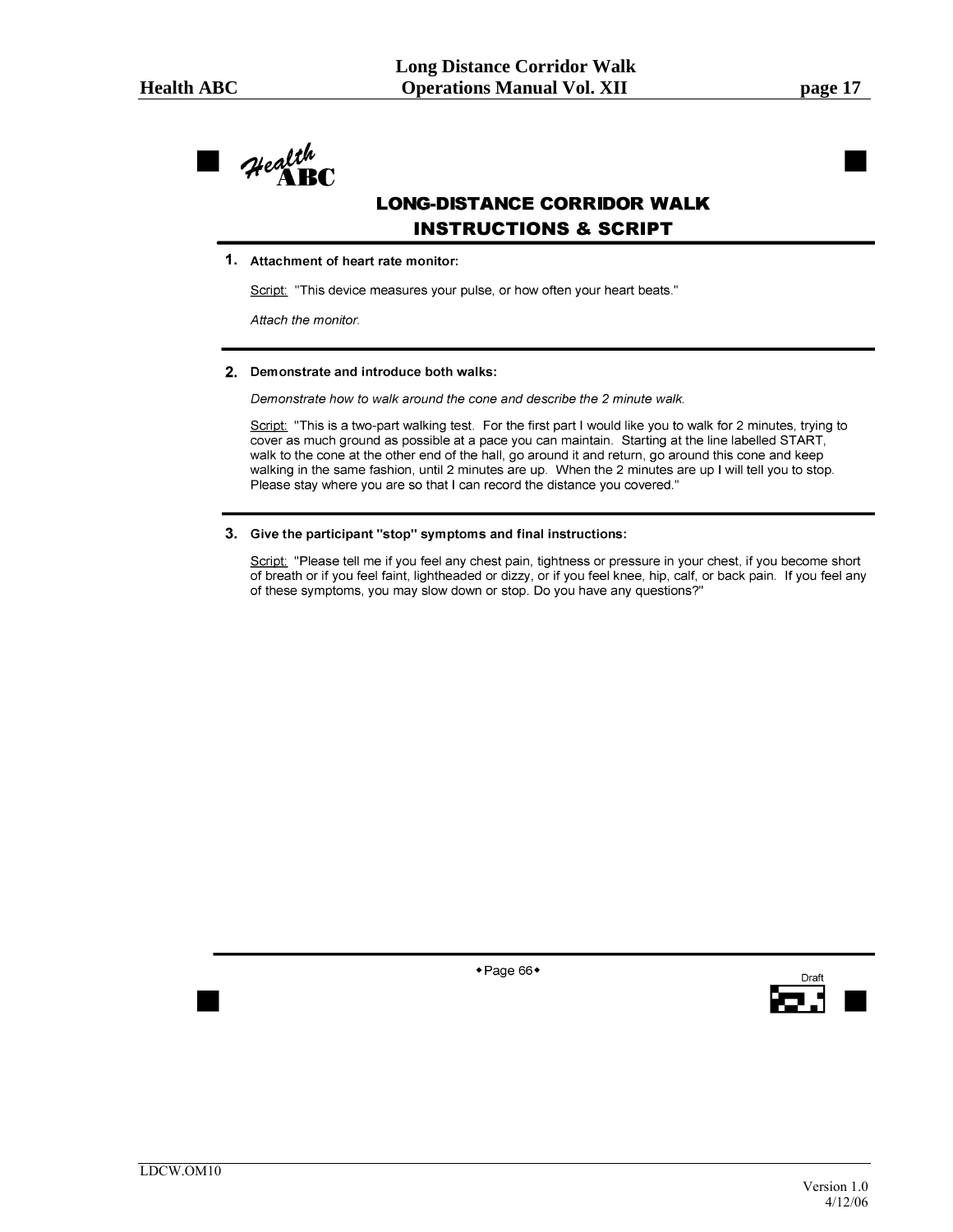Health

# **LONG-DISTANCE CORRIDOR WALK INSTRUCTIONS & SCRIPT**

#### 1. Attachment of heart rate monitor:

Script: "This device measures your pulse, or how often your heart beats."

Attach the monitor.

#### 2. Demonstrate and introduce both walks:

Demonstrate how to walk around the cone and describe the 2 minute walk.

Script: "This is a two-part walking test. For the first part I would like you to walk for 2 minutes, trying to cover as much ground as possible at a pace you can maintain. Starting at the line labelled START, walk to the cone at the other end of the hall, go around it and return, go around this cone and keep walking in the same fashion, until 2 minutes are up. When the 2 minutes are up I will tell you to stop. Please stay where you are so that I can record the distance you covered."

#### 3. Give the participant "stop" symptoms and final instructions:

Script: "Please tell me if you feel any chest pain, tightness or pressure in your chest, if you become short of breath or if you feel faint, lightheaded or dizzy, or if you feel knee, hip, calf, or back pain. If you feel any of these symptoms, you may slow down or stop. Do you have any questions?"

◆ Page 66◆

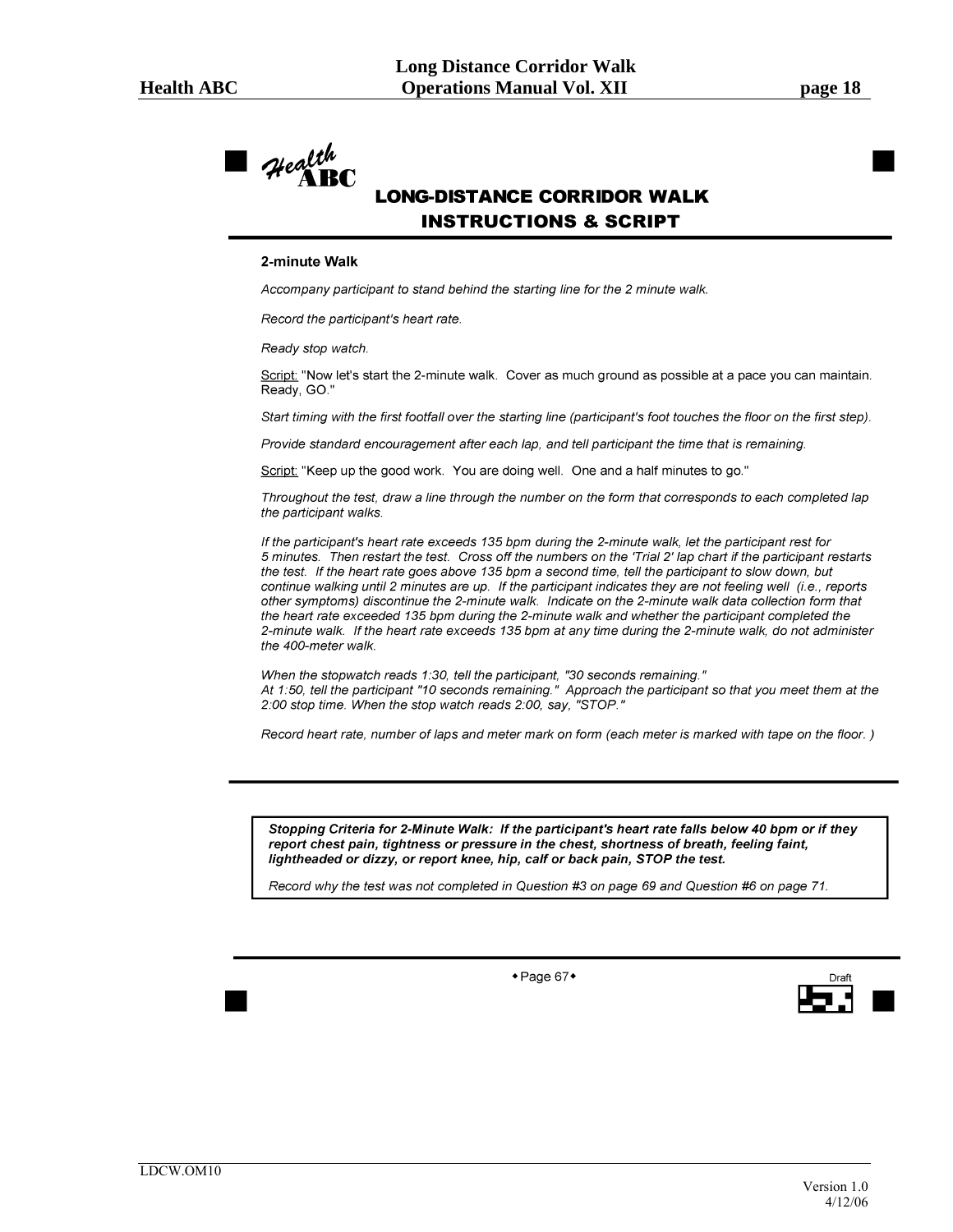

# **LONG-DISTANCE CORRIDOR WALK INSTRUCTIONS & SCRIPT**

#### 2-minute Walk

Accompany participant to stand behind the starting line for the 2 minute walk.

Record the participant's heart rate.

Ready stop watch.

Script: "Now let's start the 2-minute walk. Cover as much ground as possible at a pace you can maintain. Ready, GO."

Start timing with the first footfall over the starting line (participant's foot touches the floor on the first step).

Provide standard encouragement after each lap, and tell participant the time that is remaining.

Script: "Keep up the good work. You are doing well. One and a half minutes to go."

Throughout the test, draw a line through the number on the form that corresponds to each completed lap the participant walks.

If the participant's heart rate exceeds 135 bpm during the 2-minute walk, let the participant rest for 5 minutes. Then restart the test. Cross off the numbers on the 'Trial 2' lap chart if the participant restarts the test. If the heart rate goes above 135 bpm a second time, tell the participant to slow down, but continue walking until 2 minutes are up. If the participant indicates they are not feeling well (i.e., reports other symptoms) discontinue the 2-minute walk. Indicate on the 2-minute walk data collection form that the heart rate exceeded 135 bpm during the 2-minute walk and whether the participant completed the 2-minute walk. If the heart rate exceeds 135 bpm at any time during the 2-minute walk, do not administer the 400-meter walk.

When the stopwatch reads 1:30, tell the participant, "30 seconds remaining."<br>At 1:50, tell the participant "10 seconds remaining." Approach the participant so that you meet them at the 2:00 stop time. When the stop watch reads 2:00, say, "STOP."

Record heart rate, number of laps and meter mark on form (each meter is marked with tape on the floor.)

Stopping Criteria for 2-Minute Walk: If the participant's heart rate falls below 40 bpm or if they report chest pain, tightness or pressure in the chest, shortness of breath, feeling faint, lightheaded or dizzy, or report knee, hip, calf or back pain, STOP the test.

Record why the test was not completed in Question #3 on page 69 and Question #6 on page 71.

 $\bullet$  Page 67 $\bullet$ 

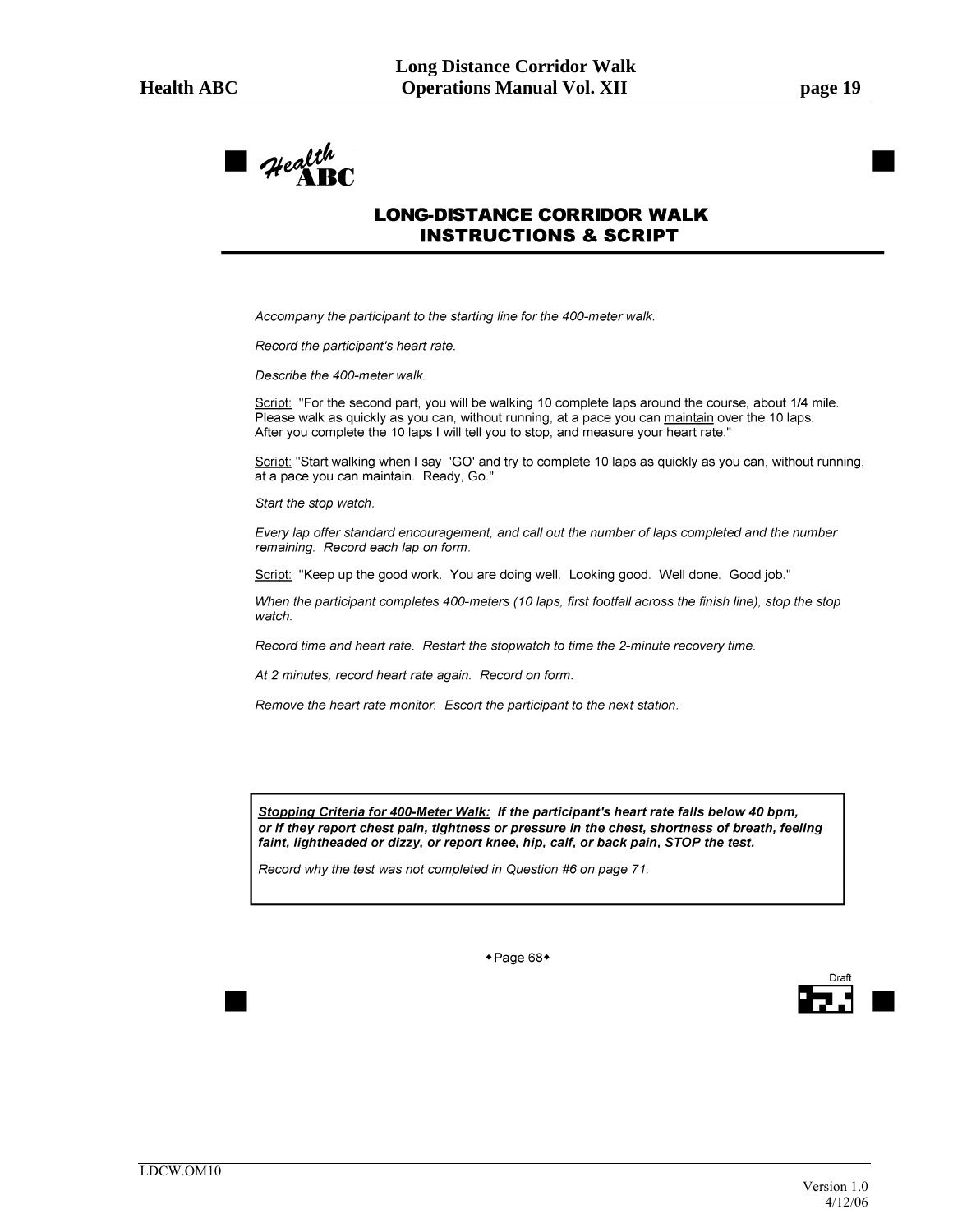

# **LONG-DISTANCE CORRIDOR WALK INSTRUCTIONS & SCRIPT**

Accompany the participant to the starting line for the 400-meter walk.

Record the participant's heart rate.

Describe the 400-meter walk.

Script: "For the second part, you will be walking 10 complete laps around the course, about 1/4 mile. Please walk as quickly as you can, without running, at a pace you can maintain over the 10 laps. After you complete the 10 laps I will tell you to stop, and measure your heart rate."

Script: "Start walking when I say 'GO' and try to complete 10 laps as quickly as you can, without running, at a pace you can maintain. Ready, Go."

Start the stop watch.

Every lap offer standard encouragement, and call out the number of laps completed and the number remaining. Record each lap on form.

Script: "Keep up the good work. You are doing well. Looking good. Well done. Good job."

When the participant completes 400-meters (10 laps, first footfall across the finish line), stop the stop watch.

Record time and heart rate. Restart the stopwatch to time the 2-minute recovery time.

At 2 minutes, record heart rate again. Record on form.

Remove the heart rate monitor. Escort the participant to the next station.

Stopping Criteria for 400-Meter Walk: If the participant's heart rate falls below 40 bpm, or if they report chest pain, tightness or pressure in the chest, shortness of breath, feeling faint, lightheaded or dizzy, or report knee, hip, calf, or back pain, STOP the test.

Record why the test was not completed in Question #6 on page 71.

◆ Page 68◆

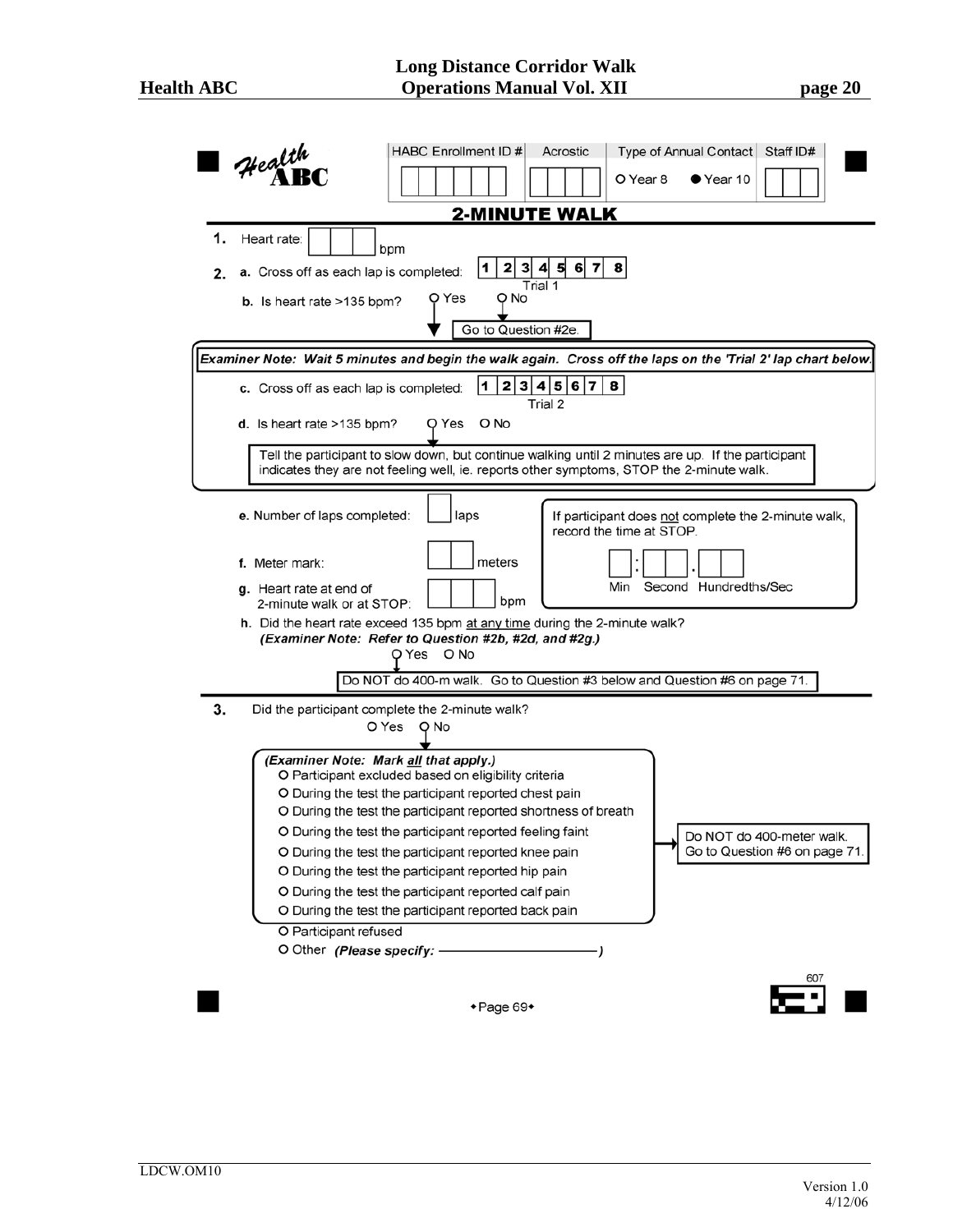|          | <b>HABC Enrollment ID #</b><br>Acrostic<br>Type of Annual Contact Staff ID#<br>$\mathcal{H}$ ealth<br>O Year 8<br>$\bullet$ Year 10                                                            |  |  |  |  |  |  |  |  |
|----------|------------------------------------------------------------------------------------------------------------------------------------------------------------------------------------------------|--|--|--|--|--|--|--|--|
|          | <b>2-MINUTE WALK</b>                                                                                                                                                                           |  |  |  |  |  |  |  |  |
| 1.<br>2. | Heart rate:<br>bpm<br>2 3 4 5<br>8<br>1<br>6 7 <br>a. Cross off as each lap is completed:<br>Trial 1<br>O No<br>Q Yes                                                                          |  |  |  |  |  |  |  |  |
|          | <b>b.</b> Is heart rate $>135$ bpm?                                                                                                                                                            |  |  |  |  |  |  |  |  |
|          | Go to Question #2e.                                                                                                                                                                            |  |  |  |  |  |  |  |  |
|          | Examiner Note: Wait 5 minutes and begin the walk again. Cross off the laps on the 'Trial 2' lap chart below.                                                                                   |  |  |  |  |  |  |  |  |
|          | 2 3 4 5 6 7 <br>8<br>11<br>c. Cross off as each lap is completed:<br>Trial 2                                                                                                                   |  |  |  |  |  |  |  |  |
|          | Q Yes<br>O No<br>d. Is heart rate $>135$ bpm?                                                                                                                                                  |  |  |  |  |  |  |  |  |
|          | Tell the participant to slow down, but continue walking until 2 minutes are up. If the participant<br>indicates they are not feeling well, ie. reports other symptoms, STOP the 2-minute walk. |  |  |  |  |  |  |  |  |
|          | e. Number of laps completed:<br>laps<br>If participant does not complete the 2-minute walk,<br>record the time at STOP.                                                                        |  |  |  |  |  |  |  |  |
|          | meters<br>f. Meter mark:<br>Second Hundredths/Sec<br>Min<br>g. Heart rate at end of                                                                                                            |  |  |  |  |  |  |  |  |
|          | bpm<br>2-minute walk or at STOP:                                                                                                                                                               |  |  |  |  |  |  |  |  |
|          | h. Did the heart rate exceed 135 bpm at any time during the 2-minute walk?<br>(Examiner Note: Refer to Question #2b, #2d, and #2g.)<br>O Yes<br>O No                                           |  |  |  |  |  |  |  |  |
|          | Do NOT do 400-m walk. Go to Question #3 below and Question #6 on page 71.                                                                                                                      |  |  |  |  |  |  |  |  |
| 3.       | Did the participant complete the 2-minute walk?<br>O Yes<br>O No                                                                                                                               |  |  |  |  |  |  |  |  |
|          | (Examiner Note: Mark all that apply.)<br>O Participant excluded based on eligibility criteria                                                                                                  |  |  |  |  |  |  |  |  |
|          | O During the test the participant reported chest pain<br>O During the test the participant reported shortness of breath                                                                        |  |  |  |  |  |  |  |  |
|          | O During the test the participant reported feeling faint<br>Do NOT do 400-meter walk.                                                                                                          |  |  |  |  |  |  |  |  |
|          | Go to Question #6 on page 71.<br>O During the test the participant reported knee pain                                                                                                          |  |  |  |  |  |  |  |  |
|          | O During the test the participant reported hip pain                                                                                                                                            |  |  |  |  |  |  |  |  |
|          | O During the test the participant reported calf pain                                                                                                                                           |  |  |  |  |  |  |  |  |
|          | O During the test the participant reported back pain<br>O Participant refused                                                                                                                  |  |  |  |  |  |  |  |  |
|          | O Other (Please specify: -                                                                                                                                                                     |  |  |  |  |  |  |  |  |
|          | 607                                                                                                                                                                                            |  |  |  |  |  |  |  |  |
|          | $\bullet$ Page 69 $\bullet$                                                                                                                                                                    |  |  |  |  |  |  |  |  |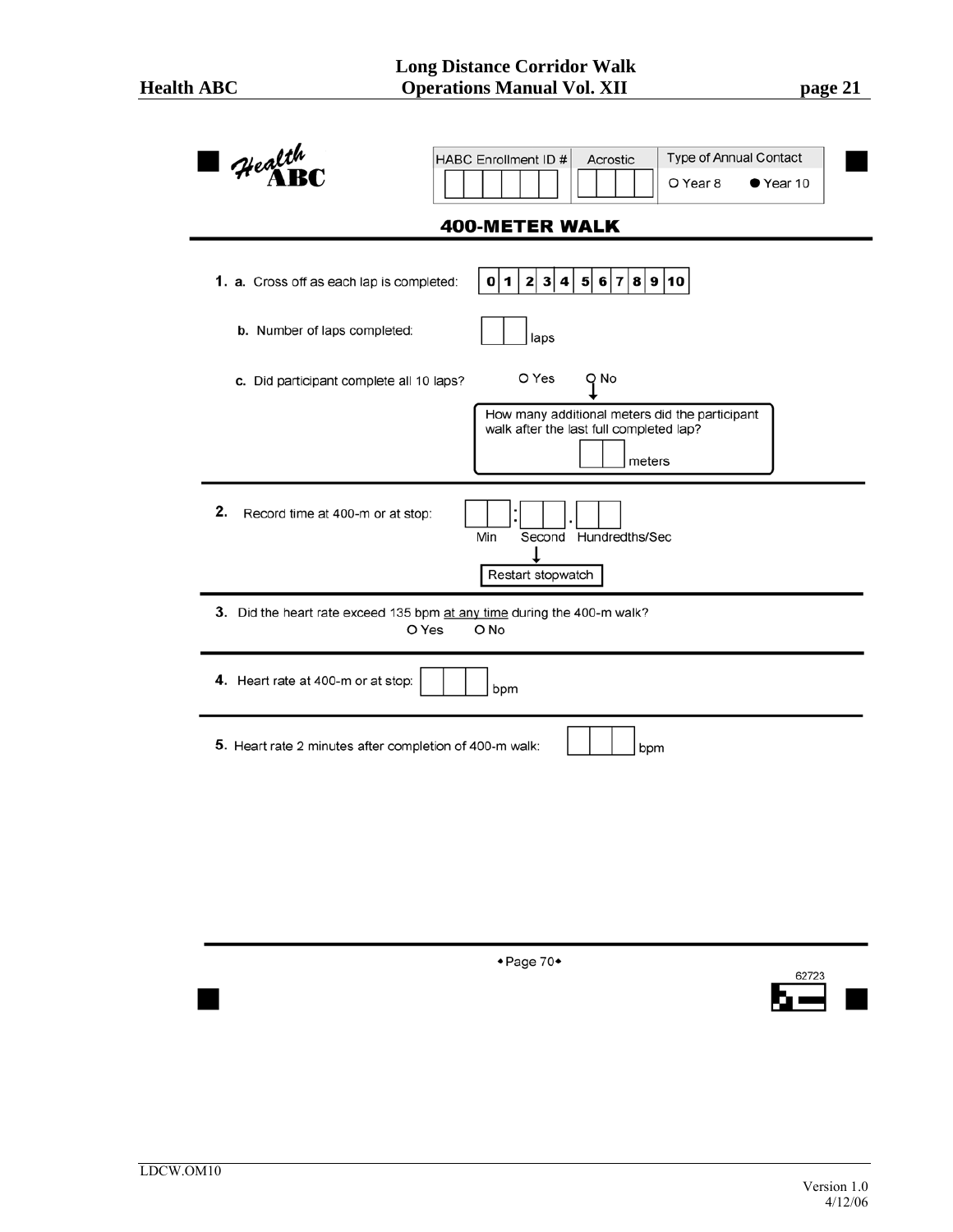| Health<br>$\mathcal{H}$ ealth                                                            | Type of Annual Contact<br>HABC Enrollment ID #<br>Acrostic<br>O Year 8<br>$\bullet$ Year 10                          |  |  |  |  |  |  |  |  |
|------------------------------------------------------------------------------------------|----------------------------------------------------------------------------------------------------------------------|--|--|--|--|--|--|--|--|
|                                                                                          | <b>400-METER WALK</b>                                                                                                |  |  |  |  |  |  |  |  |
| 5 6 7 8 9 10<br>1. a. Cross off as each lap is completed:<br>0 1 <br>2 3 4               |                                                                                                                      |  |  |  |  |  |  |  |  |
| b. Number of laps completed:                                                             | laps                                                                                                                 |  |  |  |  |  |  |  |  |
| c. Did participant complete all 10 laps?                                                 | O Yes<br>Q No<br>How many additional meters did the participant<br>walk after the last full completed lap?<br>meters |  |  |  |  |  |  |  |  |
| 2.<br>Record time at 400-m or at stop:                                                   | Min<br>Second Hundredths/Sec<br>Restart stopwatch                                                                    |  |  |  |  |  |  |  |  |
| 3. Did the heart rate exceed 135 bpm at any time during the 400-m walk?<br>O Yes<br>O No |                                                                                                                      |  |  |  |  |  |  |  |  |
| 4. Heart rate at 400-m or at stop:<br>bpm                                                |                                                                                                                      |  |  |  |  |  |  |  |  |
| 5. Heart rate 2 minutes after completion of 400-m walk:<br>bpm                           |                                                                                                                      |  |  |  |  |  |  |  |  |
|                                                                                          |                                                                                                                      |  |  |  |  |  |  |  |  |
|                                                                                          |                                                                                                                      |  |  |  |  |  |  |  |  |
|                                                                                          | +Page 70+<br>62723                                                                                                   |  |  |  |  |  |  |  |  |